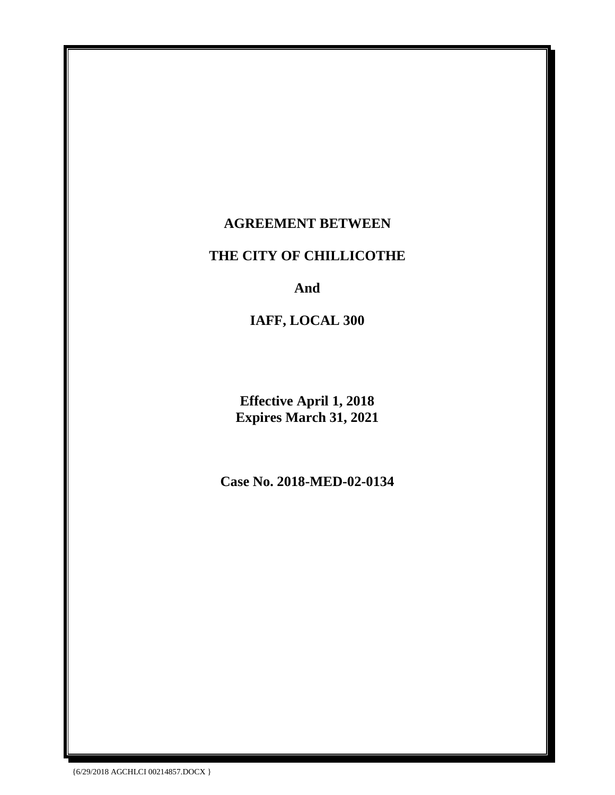# **AGREEMENT BETWEEN**

# **THE CITY OF CHILLICOTHE**

**And**

**IAFF, LOCAL 300**

**Effective April 1, 2018 Expires March 31, 2021**

**Case No. 2018-MED-02-0134**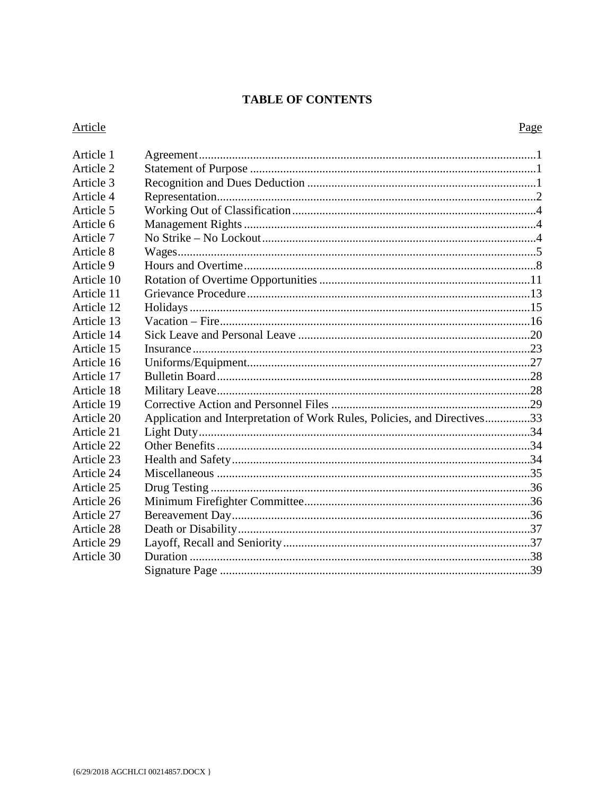## **TABLE OF CONTENTS**

## Article

#### Page

| Article 1  |                                                                          |  |
|------------|--------------------------------------------------------------------------|--|
| Article 2  |                                                                          |  |
| Article 3  |                                                                          |  |
| Article 4  |                                                                          |  |
| Article 5  |                                                                          |  |
| Article 6  |                                                                          |  |
| Article 7  |                                                                          |  |
| Article 8  |                                                                          |  |
| Article 9  |                                                                          |  |
| Article 10 |                                                                          |  |
| Article 11 |                                                                          |  |
| Article 12 |                                                                          |  |
| Article 13 |                                                                          |  |
| Article 14 |                                                                          |  |
| Article 15 |                                                                          |  |
| Article 16 |                                                                          |  |
| Article 17 |                                                                          |  |
| Article 18 |                                                                          |  |
| Article 19 |                                                                          |  |
| Article 20 | Application and Interpretation of Work Rules, Policies, and Directives33 |  |
| Article 21 |                                                                          |  |
| Article 22 |                                                                          |  |
| Article 23 |                                                                          |  |
| Article 24 |                                                                          |  |
| Article 25 |                                                                          |  |
| Article 26 |                                                                          |  |
| Article 27 |                                                                          |  |
| Article 28 |                                                                          |  |
| Article 29 |                                                                          |  |
| Article 30 |                                                                          |  |
|            |                                                                          |  |
|            |                                                                          |  |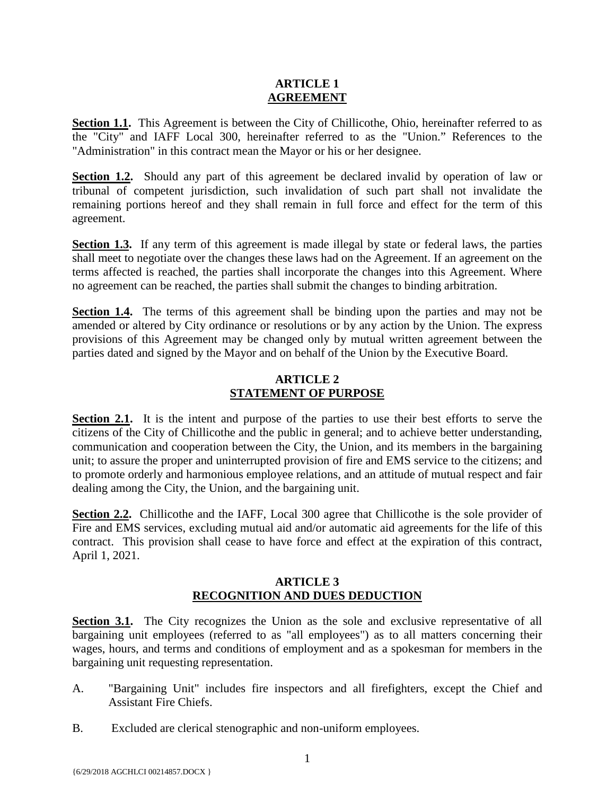#### **ARTICLE 1 AGREEMENT**

<span id="page-2-0"></span>**Section 1.1.** This Agreement is between the City of Chillicothe, Ohio, hereinafter referred to as the "City" and IAFF Local 300, hereinafter referred to as the "Union." References to the "Administration" in this contract mean the Mayor or his or her designee.

**Section 1.2.** Should any part of this agreement be declared invalid by operation of law or tribunal of competent jurisdiction, such invalidation of such part shall not invalidate the remaining portions hereof and they shall remain in full force and effect for the term of this agreement.

**Section 1.3.** If any term of this agreement is made illegal by state or federal laws, the parties shall meet to negotiate over the changes these laws had on the Agreement. If an agreement on the terms affected is reached, the parties shall incorporate the changes into this Agreement. Where no agreement can be reached, the parties shall submit the changes to binding arbitration.

**Section 1.4.** The terms of this agreement shall be binding upon the parties and may not be amended or altered by City ordinance or resolutions or by any action by the Union. The express provisions of this Agreement may be changed only by mutual written agreement between the parties dated and signed by the Mayor and on behalf of the Union by the Executive Board.

## **ARTICLE 2 STATEMENT OF PURPOSE**

<span id="page-2-1"></span>**Section 2.1.** It is the intent and purpose of the parties to use their best efforts to serve the citizens of the City of Chillicothe and the public in general; and to achieve better understanding, communication and cooperation between the City, the Union, and its members in the bargaining unit; to assure the proper and uninterrupted provision of fire and EMS service to the citizens; and to promote orderly and harmonious employee relations, and an attitude of mutual respect and fair dealing among the City, the Union, and the bargaining unit.

**Section 2.2.** Chillicothe and the IAFF, Local 300 agree that Chillicothe is the sole provider of Fire and EMS services, excluding mutual aid and/or automatic aid agreements for the life of this contract. This provision shall cease to have force and effect at the expiration of this contract, April 1, 2021.

## **ARTICLE 3 RECOGNITION AND DUES DEDUCTION**

<span id="page-2-2"></span>**Section 3.1.** The City recognizes the Union as the sole and exclusive representative of all bargaining unit employees (referred to as "all employees") as to all matters concerning their wages, hours, and terms and conditions of employment and as a spokesman for members in the bargaining unit requesting representation.

- A. "Bargaining Unit" includes fire inspectors and all firefighters, except the Chief and Assistant Fire Chiefs.
- B. Excluded are clerical stenographic and non-uniform employees.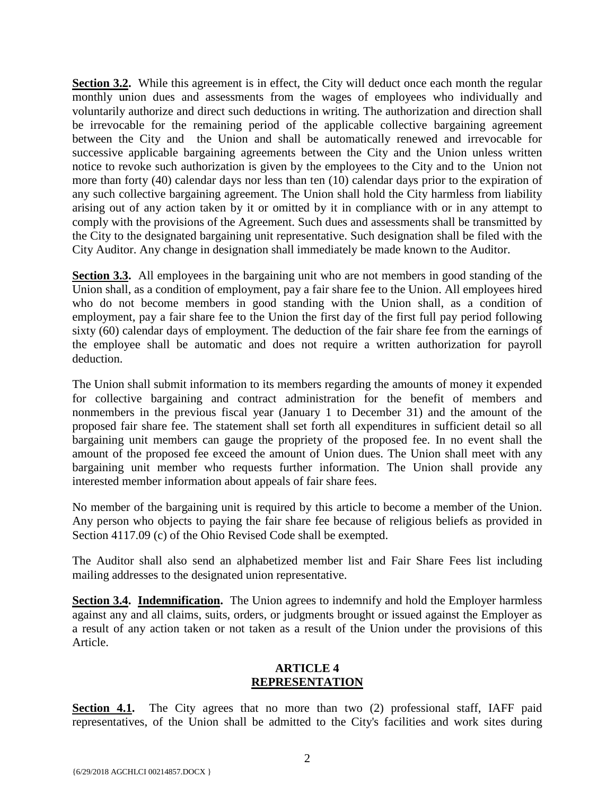**Section 3.2.** While this agreement is in effect, the City will deduct once each month the regular monthly union dues and assessments from the wages of employees who individually and voluntarily authorize and direct such deductions in writing. The authorization and direction shall be irrevocable for the remaining period of the applicable collective bargaining agreement between the City and the Union and shall be automatically renewed and irrevocable for successive applicable bargaining agreements between the City and the Union unless written notice to revoke such authorization is given by the employees to the City and to the Union not more than forty (40) calendar days nor less than ten (10) calendar days prior to the expiration of any such collective bargaining agreement. The Union shall hold the City harmless from liability arising out of any action taken by it or omitted by it in compliance with or in any attempt to comply with the provisions of the Agreement. Such dues and assessments shall be transmitted by the City to the designated bargaining unit representative. Such designation shall be filed with the City Auditor. Any change in designation shall immediately be made known to the Auditor.

**Section 3.3.** All employees in the bargaining unit who are not members in good standing of the Union shall, as a condition of employment, pay a fair share fee to the Union. All employees hired who do not become members in good standing with the Union shall, as a condition of employment, pay a fair share fee to the Union the first day of the first full pay period following sixty (60) calendar days of employment. The deduction of the fair share fee from the earnings of the employee shall be automatic and does not require a written authorization for payroll deduction.

The Union shall submit information to its members regarding the amounts of money it expended for collective bargaining and contract administration for the benefit of members and nonmembers in the previous fiscal year (January 1 to December 31) and the amount of the proposed fair share fee. The statement shall set forth all expenditures in sufficient detail so all bargaining unit members can gauge the propriety of the proposed fee. In no event shall the amount of the proposed fee exceed the amount of Union dues. The Union shall meet with any bargaining unit member who requests further information. The Union shall provide any interested member information about appeals of fair share fees.

No member of the bargaining unit is required by this article to become a member of the Union. Any person who objects to paying the fair share fee because of religious beliefs as provided in Section 4117.09 (c) of the Ohio Revised Code shall be exempted.

The Auditor shall also send an alphabetized member list and Fair Share Fees list including mailing addresses to the designated union representative.

**Section 3.4. Indemnification.** The Union agrees to indemnify and hold the Employer harmless against any and all claims, suits, orders, or judgments brought or issued against the Employer as a result of any action taken or not taken as a result of the Union under the provisions of this Article.

## **ARTICLE 4 REPRESENTATION**

<span id="page-3-0"></span>**Section 4.1.** The City agrees that no more than two (2) professional staff, IAFF paid representatives, of the Union shall be admitted to the City's facilities and work sites during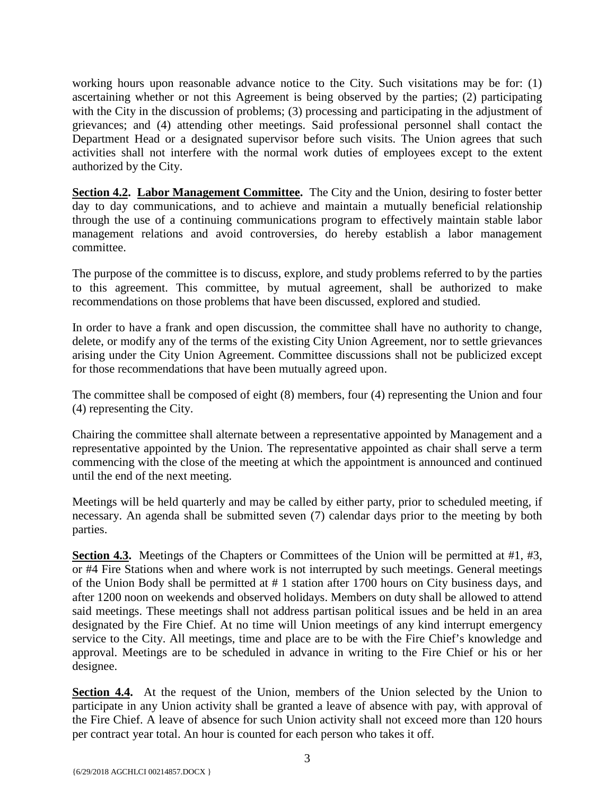working hours upon reasonable advance notice to the City. Such visitations may be for: (1) ascertaining whether or not this Agreement is being observed by the parties; (2) participating with the City in the discussion of problems; (3) processing and participating in the adjustment of grievances; and (4) attending other meetings. Said professional personnel shall contact the Department Head or a designated supervisor before such visits. The Union agrees that such activities shall not interfere with the normal work duties of employees except to the extent authorized by the City.

**Section 4.2. Labor Management Committee.** The City and the Union, desiring to foster better day to day communications, and to achieve and maintain a mutually beneficial relationship through the use of a continuing communications program to effectively maintain stable labor management relations and avoid controversies, do hereby establish a labor management committee.

The purpose of the committee is to discuss, explore, and study problems referred to by the parties to this agreement. This committee, by mutual agreement, shall be authorized to make recommendations on those problems that have been discussed, explored and studied.

In order to have a frank and open discussion, the committee shall have no authority to change, delete, or modify any of the terms of the existing City Union Agreement, nor to settle grievances arising under the City Union Agreement. Committee discussions shall not be publicized except for those recommendations that have been mutually agreed upon.

The committee shall be composed of eight (8) members, four (4) representing the Union and four (4) representing the City.

Chairing the committee shall alternate between a representative appointed by Management and a representative appointed by the Union. The representative appointed as chair shall serve a term commencing with the close of the meeting at which the appointment is announced and continued until the end of the next meeting.

Meetings will be held quarterly and may be called by either party, prior to scheduled meeting, if necessary. An agenda shall be submitted seven (7) calendar days prior to the meeting by both parties.

**Section 4.3.** Meetings of the Chapters or Committees of the Union will be permitted at #1, #3, or #4 Fire Stations when and where work is not interrupted by such meetings. General meetings of the Union Body shall be permitted at # 1 station after 1700 hours on City business days, and after 1200 noon on weekends and observed holidays. Members on duty shall be allowed to attend said meetings. These meetings shall not address partisan political issues and be held in an area designated by the Fire Chief. At no time will Union meetings of any kind interrupt emergency service to the City. All meetings, time and place are to be with the Fire Chief's knowledge and approval. Meetings are to be scheduled in advance in writing to the Fire Chief or his or her designee.

**Section 4.4.** At the request of the Union, members of the Union selected by the Union to participate in any Union activity shall be granted a leave of absence with pay, with approval of the Fire Chief. A leave of absence for such Union activity shall not exceed more than 120 hours per contract year total. An hour is counted for each person who takes it off.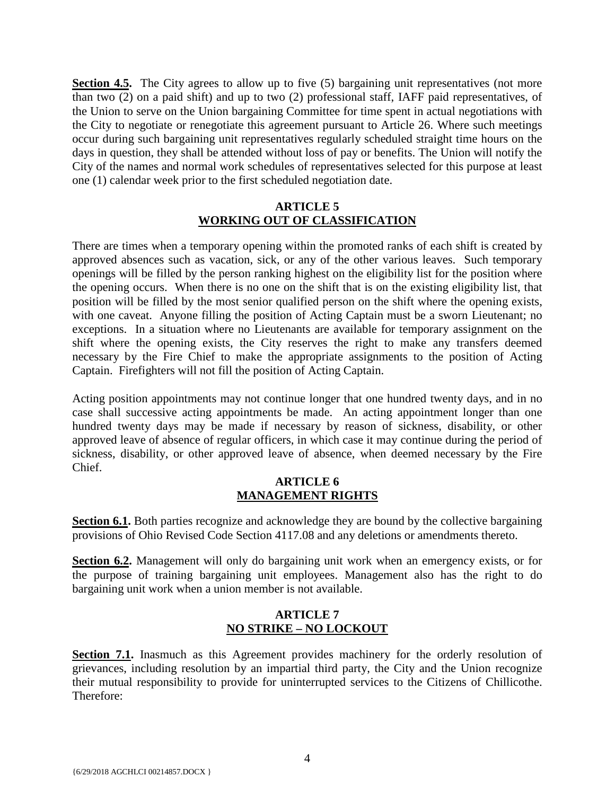**Section 4.5.** The City agrees to allow up to five (5) bargaining unit representatives (not more than two (2) on a paid shift) and up to two (2) professional staff, IAFF paid representatives, of the Union to serve on the Union bargaining Committee for time spent in actual negotiations with the City to negotiate or renegotiate this agreement pursuant to Article 26. Where such meetings occur during such bargaining unit representatives regularly scheduled straight time hours on the days in question, they shall be attended without loss of pay or benefits. The Union will notify the City of the names and normal work schedules of representatives selected for this purpose at least one (1) calendar week prior to the first scheduled negotiation date.

#### **ARTICLE 5 WORKING OUT OF CLASSIFICATION**

<span id="page-5-0"></span>There are times when a temporary opening within the promoted ranks of each shift is created by approved absences such as vacation, sick, or any of the other various leaves. Such temporary openings will be filled by the person ranking highest on the eligibility list for the position where the opening occurs. When there is no one on the shift that is on the existing eligibility list, that position will be filled by the most senior qualified person on the shift where the opening exists, with one caveat. Anyone filling the position of Acting Captain must be a sworn Lieutenant; no exceptions. In a situation where no Lieutenants are available for temporary assignment on the shift where the opening exists, the City reserves the right to make any transfers deemed necessary by the Fire Chief to make the appropriate assignments to the position of Acting Captain. Firefighters will not fill the position of Acting Captain.

Acting position appointments may not continue longer that one hundred twenty days, and in no case shall successive acting appointments be made. An acting appointment longer than one hundred twenty days may be made if necessary by reason of sickness, disability, or other approved leave of absence of regular officers, in which case it may continue during the period of sickness, disability, or other approved leave of absence, when deemed necessary by the Fire Chief.

#### **ARTICLE 6 MANAGEMENT RIGHTS**

<span id="page-5-1"></span>**Section 6.1.** Both parties recognize and acknowledge they are bound by the collective bargaining provisions of Ohio Revised Code Section 4117.08 and any deletions or amendments thereto.

**Section 6.2.** Management will only do bargaining unit work when an emergency exists, or for the purpose of training bargaining unit employees. Management also has the right to do bargaining unit work when a union member is not available.

## **ARTICLE 7 NO STRIKE – NO LOCKOUT**

<span id="page-5-2"></span>**Section 7.1.** Inasmuch as this Agreement provides machinery for the orderly resolution of grievances, including resolution by an impartial third party, the City and the Union recognize their mutual responsibility to provide for uninterrupted services to the Citizens of Chillicothe. Therefore: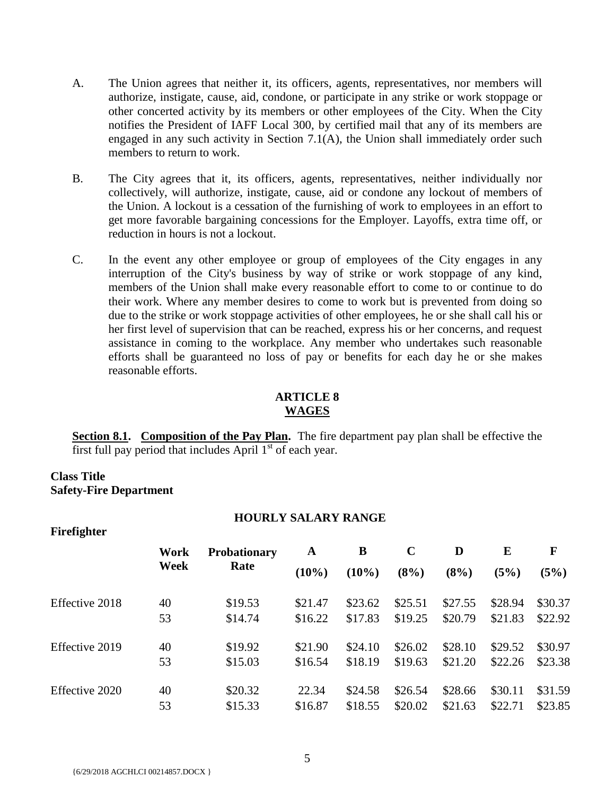- A. The Union agrees that neither it, its officers, agents, representatives, nor members will authorize, instigate, cause, aid, condone, or participate in any strike or work stoppage or other concerted activity by its members or other employees of the City. When the City notifies the President of IAFF Local 300, by certified mail that any of its members are engaged in any such activity in Section 7.1(A), the Union shall immediately order such members to return to work.
- B. The City agrees that it, its officers, agents, representatives, neither individually nor collectively, will authorize, instigate, cause, aid or condone any lockout of members of the Union. A lockout is a cessation of the furnishing of work to employees in an effort to get more favorable bargaining concessions for the Employer. Layoffs, extra time off, or reduction in hours is not a lockout.
- C. In the event any other employee or group of employees of the City engages in any interruption of the City's business by way of strike or work stoppage of any kind, members of the Union shall make every reasonable effort to come to or continue to do their work. Where any member desires to come to work but is prevented from doing so due to the strike or work stoppage activities of other employees, he or she shall call his or her first level of supervision that can be reached, express his or her concerns, and request assistance in coming to the workplace. Any member who undertakes such reasonable efforts shall be guaranteed no loss of pay or benefits for each day he or she makes reasonable efforts.

#### **ARTICLE 8 WAGES**

<span id="page-6-0"></span>**Section 8.1. Composition of the Pay Plan.** The fire department pay plan shall be effective the first full pay period that includes April  $1<sup>st</sup>$  of each year.

## **Class Title Safety-Fire Department**

**Firefighter**

## **HOURLY SALARY RANGE**

| r il chemici   |      |                     |          |          |             |         |         |         |
|----------------|------|---------------------|----------|----------|-------------|---------|---------|---------|
|                | Work | <b>Probationary</b> | A        | B        | $\mathbf C$ | D       | E       | F       |
|                | Week | Rate                | $(10\%)$ | $(10\%)$ | (8%)        | (8%)    | (5%)    | (5%)    |
| Effective 2018 | 40   | \$19.53             | \$21.47  | \$23.62  | \$25.51     | \$27.55 | \$28.94 | \$30.37 |
|                | 53   | \$14.74             | \$16.22  | \$17.83  | \$19.25     | \$20.79 | \$21.83 | \$22.92 |
| Effective 2019 | 40   | \$19.92             | \$21.90  | \$24.10  | \$26.02     | \$28.10 | \$29.52 | \$30.97 |
|                | 53   | \$15.03             | \$16.54  | \$18.19  | \$19.63     | \$21.20 | \$22.26 | \$23.38 |
| Effective 2020 | 40   | \$20.32             | 22.34    | \$24.58  | \$26.54     | \$28.66 | \$30.11 | \$31.59 |
|                | 53   | \$15.33             | \$16.87  | \$18.55  | \$20.02     | \$21.63 | \$22.71 | \$23.85 |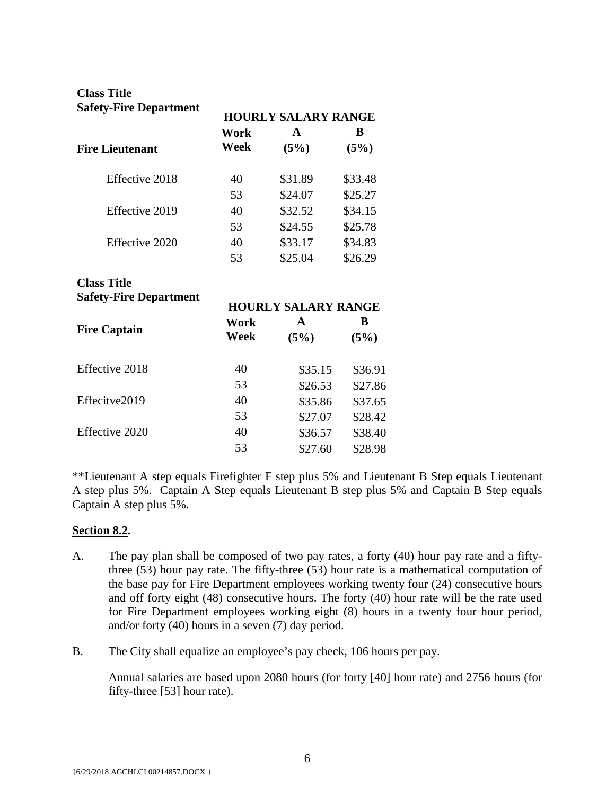**Class Title Safety-Fire Department** 

|                                                     |              | <b>HOURLY SALARY RANGE</b> |           |  |
|-----------------------------------------------------|--------------|----------------------------|-----------|--|
|                                                     | Work         | A                          | B         |  |
| <b>Fire Lieutenant</b>                              | Week         | (5%)                       | (5%)      |  |
| Effective 2018                                      | 40           | \$31.89                    | \$33.48   |  |
|                                                     | 53           | \$24.07                    | \$25.27   |  |
| Effective 2019                                      | 40           | \$32.52                    | \$34.15   |  |
|                                                     | 53           | \$24.55                    | \$25.78   |  |
| Effective 2020                                      | 40           | \$33.17                    | \$34.83   |  |
|                                                     | 53           | \$25.04                    | \$26.29   |  |
| <b>Class Title</b><br><b>Safety-Fire Department</b> |              | <b>HOURLY SALARY RANGE</b> |           |  |
| <b>Fire Captain</b>                                 | Work<br>Week | A<br>(5%)                  | B<br>(5%) |  |
| Effective 2018                                      | 40           | \$35.15                    | \$36.91   |  |
|                                                     | 53           | \$26.53                    | \$27.86   |  |
| Effecitve2019                                       | 40           | \$35.86                    | \$37.65   |  |
|                                                     | 53           | \$27.07                    | \$28.42   |  |
| Effective 2020                                      | 40           | \$36.57                    | \$38.40   |  |
|                                                     | 53           | \$27.60                    | \$28.98   |  |

\*\*Lieutenant A step equals Firefighter F step plus 5% and Lieutenant B Step equals Lieutenant A step plus 5%. Captain A Step equals Lieutenant B step plus 5% and Captain B Step equals Captain A step plus 5%.

#### **Section 8.2.**

- A. The pay plan shall be composed of two pay rates, a forty (40) hour pay rate and a fiftythree (53) hour pay rate. The fifty-three (53) hour rate is a mathematical computation of the base pay for Fire Department employees working twenty four (24) consecutive hours and off forty eight (48) consecutive hours. The forty (40) hour rate will be the rate used for Fire Department employees working eight (8) hours in a twenty four hour period, and/or forty (40) hours in a seven (7) day period.
- B. The City shall equalize an employee's pay check, 106 hours per pay.

Annual salaries are based upon 2080 hours (for forty [40] hour rate) and 2756 hours (for fifty-three [53] hour rate).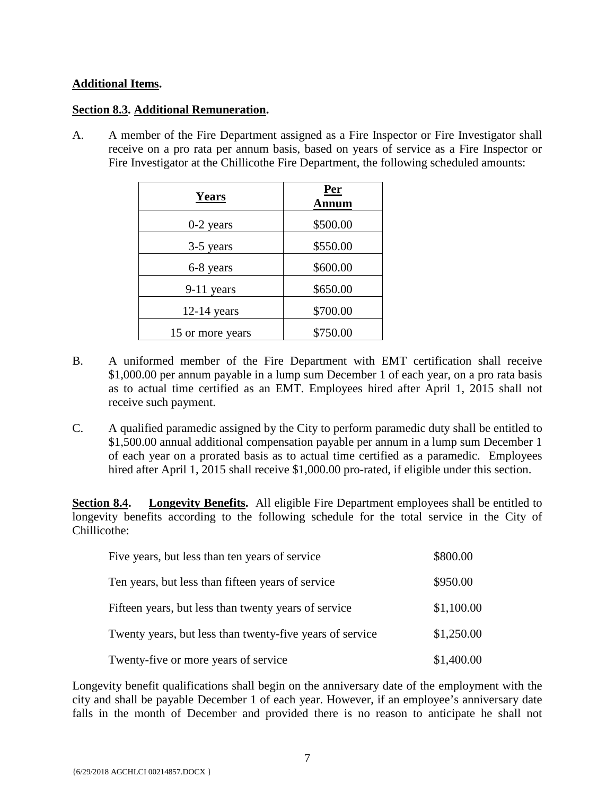#### **Additional Items.**

#### **Section 8.3. Additional Remuneration.**

A. A member of the Fire Department assigned as a Fire Inspector or Fire Investigator shall receive on a pro rata per annum basis, based on years of service as a Fire Inspector or Fire Investigator at the Chillicothe Fire Department, the following scheduled amounts:

| <b>Years</b>     | <b>Per</b><br>Annum |
|------------------|---------------------|
| $0-2$ years      | \$500.00            |
| 3-5 years        | \$550.00            |
| 6-8 years        | \$600.00            |
| $9-11$ years     | \$650.00            |
| $12-14$ years    | \$700.00            |
| 15 or more years | \$750.00            |

- B. A uniformed member of the Fire Department with EMT certification shall receive \$1,000.00 per annum payable in a lump sum December 1 of each year, on a pro rata basis as to actual time certified as an EMT. Employees hired after April 1, 2015 shall not receive such payment.
- C. A qualified paramedic assigned by the City to perform paramedic duty shall be entitled to \$1,500.00 annual additional compensation payable per annum in a lump sum December 1 of each year on a prorated basis as to actual time certified as a paramedic. Employees hired after April 1, 2015 shall receive \$1,000.00 pro-rated, if eligible under this section.

**Section 8.4.** Longevity Benefits. All eligible Fire Department employees shall be entitled to longevity benefits according to the following schedule for the total service in the City of Chillicothe:

| Five years, but less than ten years of service           | \$800.00   |
|----------------------------------------------------------|------------|
| Ten years, but less than fifteen years of service        | \$950.00   |
| Fifteen years, but less than twenty years of service     | \$1,100.00 |
| Twenty years, but less than twenty-five years of service | \$1,250.00 |
| Twenty-five or more years of service                     | \$1,400.00 |

Longevity benefit qualifications shall begin on the anniversary date of the employment with the city and shall be payable December 1 of each year. However, if an employee's anniversary date falls in the month of December and provided there is no reason to anticipate he shall not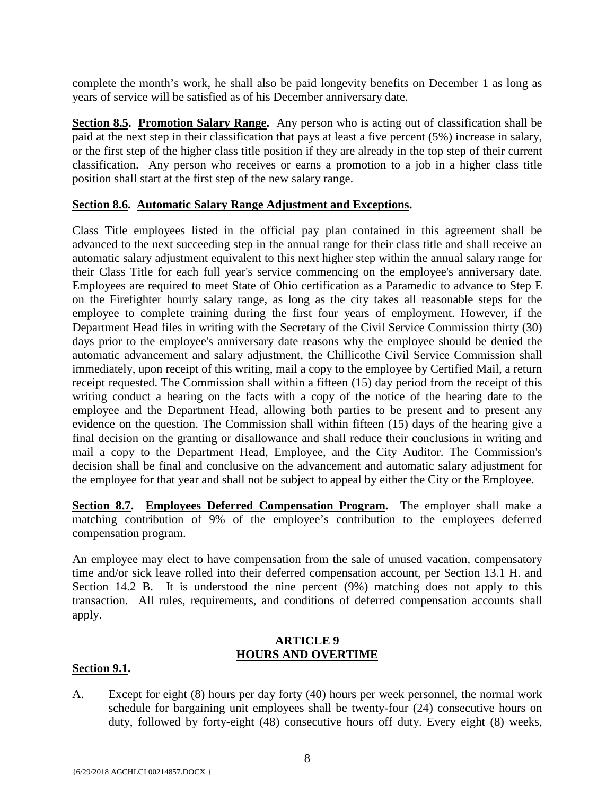complete the month's work, he shall also be paid longevity benefits on December 1 as long as years of service will be satisfied as of his December anniversary date.

**Section 8.5. Promotion Salary Range.** Any person who is acting out of classification shall be paid at the next step in their classification that pays at least a five percent (5%) increase in salary, or the first step of the higher class title position if they are already in the top step of their current classification. Any person who receives or earns a promotion to a job in a higher class title position shall start at the first step of the new salary range.

#### **Section 8.6. Automatic Salary Range Adjustment and Exceptions.**

Class Title employees listed in the official pay plan contained in this agreement shall be advanced to the next succeeding step in the annual range for their class title and shall receive an automatic salary adjustment equivalent to this next higher step within the annual salary range for their Class Title for each full year's service commencing on the employee's anniversary date. Employees are required to meet State of Ohio certification as a Paramedic to advance to Step E on the Firefighter hourly salary range, as long as the city takes all reasonable steps for the employee to complete training during the first four years of employment. However, if the Department Head files in writing with the Secretary of the Civil Service Commission thirty (30) days prior to the employee's anniversary date reasons why the employee should be denied the automatic advancement and salary adjustment, the Chillicothe Civil Service Commission shall immediately, upon receipt of this writing, mail a copy to the employee by Certified Mail, a return receipt requested. The Commission shall within a fifteen (15) day period from the receipt of this writing conduct a hearing on the facts with a copy of the notice of the hearing date to the employee and the Department Head, allowing both parties to be present and to present any evidence on the question. The Commission shall within fifteen (15) days of the hearing give a final decision on the granting or disallowance and shall reduce their conclusions in writing and mail a copy to the Department Head, Employee, and the City Auditor. The Commission's decision shall be final and conclusive on the advancement and automatic salary adjustment for the employee for that year and shall not be subject to appeal by either the City or the Employee.

**Section 8.7. Employees Deferred Compensation Program.** The employer shall make a matching contribution of 9% of the employee's contribution to the employees deferred compensation program.

An employee may elect to have compensation from the sale of unused vacation, compensatory time and/or sick leave rolled into their deferred compensation account, per Section 13.1 H. and Section 14.2 B. It is understood the nine percent (9%) matching does not apply to this transaction. All rules, requirements, and conditions of deferred compensation accounts shall apply.

#### **ARTICLE 9 HOURS AND OVERTIME**

## <span id="page-9-0"></span>**Section 9.1.**

A. Except for eight (8) hours per day forty (40) hours per week personnel, the normal work schedule for bargaining unit employees shall be twenty-four (24) consecutive hours on duty, followed by forty-eight (48) consecutive hours off duty. Every eight (8) weeks,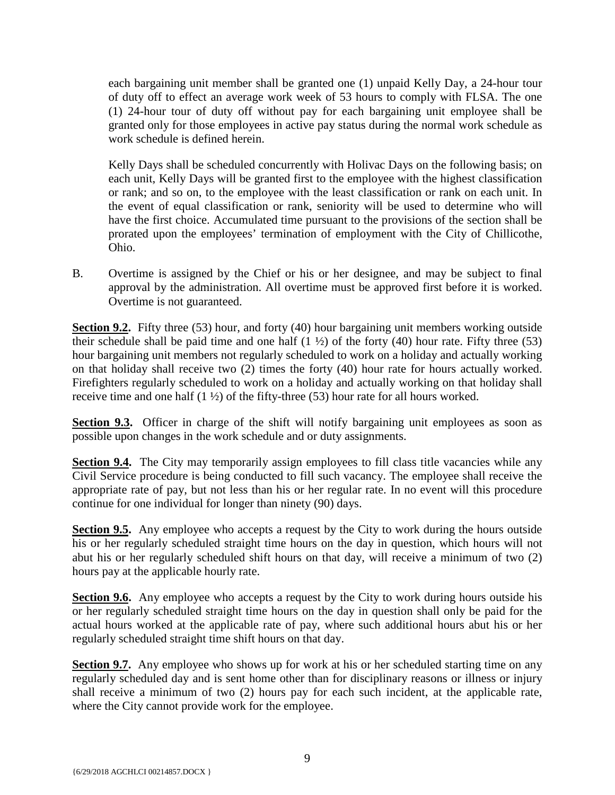each bargaining unit member shall be granted one (1) unpaid Kelly Day, a 24-hour tour of duty off to effect an average work week of 53 hours to comply with FLSA. The one (1) 24-hour tour of duty off without pay for each bargaining unit employee shall be granted only for those employees in active pay status during the normal work schedule as work schedule is defined herein.

Kelly Days shall be scheduled concurrently with Holivac Days on the following basis; on each unit, Kelly Days will be granted first to the employee with the highest classification or rank; and so on, to the employee with the least classification or rank on each unit. In the event of equal classification or rank, seniority will be used to determine who will have the first choice. Accumulated time pursuant to the provisions of the section shall be prorated upon the employees' termination of employment with the City of Chillicothe, Ohio.

B. Overtime is assigned by the Chief or his or her designee, and may be subject to final approval by the administration. All overtime must be approved first before it is worked. Overtime is not guaranteed.

**Section 9.2.** Fifty three (53) hour, and forty (40) hour bargaining unit members working outside their schedule shall be paid time and one half  $(1 \frac{1}{2})$  of the forty (40) hour rate. Fifty three (53) hour bargaining unit members not regularly scheduled to work on a holiday and actually working on that holiday shall receive two (2) times the forty (40) hour rate for hours actually worked. Firefighters regularly scheduled to work on a holiday and actually working on that holiday shall receive time and one half  $(1 \frac{1}{2})$  of the fifty-three (53) hour rate for all hours worked.

**Section 9.3.** Officer in charge of the shift will notify bargaining unit employees as soon as possible upon changes in the work schedule and or duty assignments.

**Section 9.4.** The City may temporarily assign employees to fill class title vacancies while any Civil Service procedure is being conducted to fill such vacancy. The employee shall receive the appropriate rate of pay, but not less than his or her regular rate. In no event will this procedure continue for one individual for longer than ninety (90) days.

**Section 9.5.** Any employee who accepts a request by the City to work during the hours outside his or her regularly scheduled straight time hours on the day in question, which hours will not abut his or her regularly scheduled shift hours on that day, will receive a minimum of two (2) hours pay at the applicable hourly rate.

**Section 9.6.** Any employee who accepts a request by the City to work during hours outside his or her regularly scheduled straight time hours on the day in question shall only be paid for the actual hours worked at the applicable rate of pay, where such additional hours abut his or her regularly scheduled straight time shift hours on that day.

**Section 9.7.** Any employee who shows up for work at his or her scheduled starting time on any regularly scheduled day and is sent home other than for disciplinary reasons or illness or injury shall receive a minimum of two (2) hours pay for each such incident, at the applicable rate, where the City cannot provide work for the employee.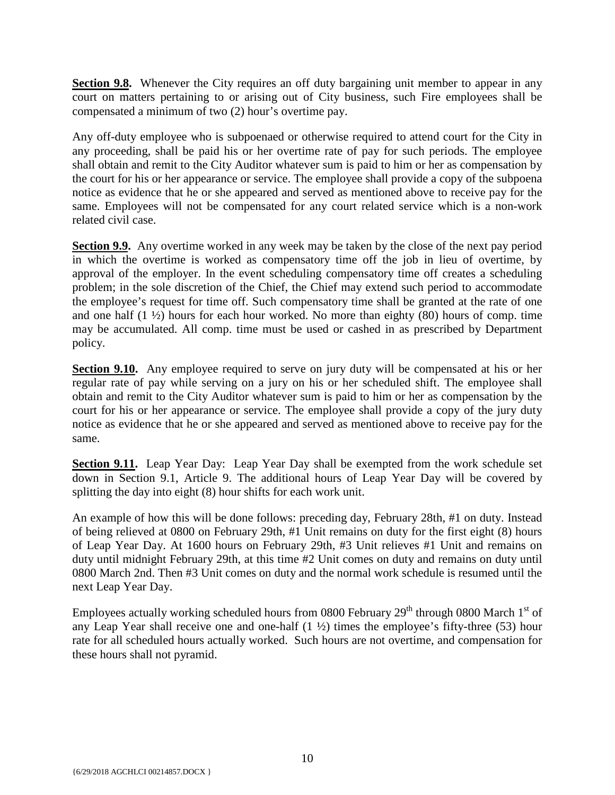**Section 9.8.** Whenever the City requires an off duty bargaining unit member to appear in any court on matters pertaining to or arising out of City business, such Fire employees shall be compensated a minimum of two (2) hour's overtime pay.

Any off-duty employee who is subpoenaed or otherwise required to attend court for the City in any proceeding, shall be paid his or her overtime rate of pay for such periods. The employee shall obtain and remit to the City Auditor whatever sum is paid to him or her as compensation by the court for his or her appearance or service. The employee shall provide a copy of the subpoena notice as evidence that he or she appeared and served as mentioned above to receive pay for the same. Employees will not be compensated for any court related service which is a non-work related civil case.

**Section 9.9.** Any overtime worked in any week may be taken by the close of the next pay period in which the overtime is worked as compensatory time off the job in lieu of overtime, by approval of the employer. In the event scheduling compensatory time off creates a scheduling problem; in the sole discretion of the Chief, the Chief may extend such period to accommodate the employee's request for time off. Such compensatory time shall be granted at the rate of one and one half  $(1 \frac{1}{2})$  hours for each hour worked. No more than eighty  $(80)$  hours of comp. time may be accumulated. All comp. time must be used or cashed in as prescribed by Department policy.

**Section 9.10.** Any employee required to serve on jury duty will be compensated at his or her regular rate of pay while serving on a jury on his or her scheduled shift. The employee shall obtain and remit to the City Auditor whatever sum is paid to him or her as compensation by the court for his or her appearance or service. The employee shall provide a copy of the jury duty notice as evidence that he or she appeared and served as mentioned above to receive pay for the same.

**Section 9.11.** Leap Year Day: Leap Year Day shall be exempted from the work schedule set down in Section 9.1, Article 9. The additional hours of Leap Year Day will be covered by splitting the day into eight (8) hour shifts for each work unit.

An example of how this will be done follows: preceding day, February 28th, #1 on duty. Instead of being relieved at 0800 on February 29th, #1 Unit remains on duty for the first eight (8) hours of Leap Year Day. At 1600 hours on February 29th, #3 Unit relieves #1 Unit and remains on duty until midnight February 29th, at this time #2 Unit comes on duty and remains on duty until 0800 March 2nd. Then #3 Unit comes on duty and the normal work schedule is resumed until the next Leap Year Day.

Employees actually working scheduled hours from 0800 February  $29<sup>th</sup>$  through 0800 March 1<sup>st</sup> of any Leap Year shall receive one and one-half  $(1 \frac{1}{2})$  times the employee's fifty-three (53) hour rate for all scheduled hours actually worked. Such hours are not overtime, and compensation for these hours shall not pyramid.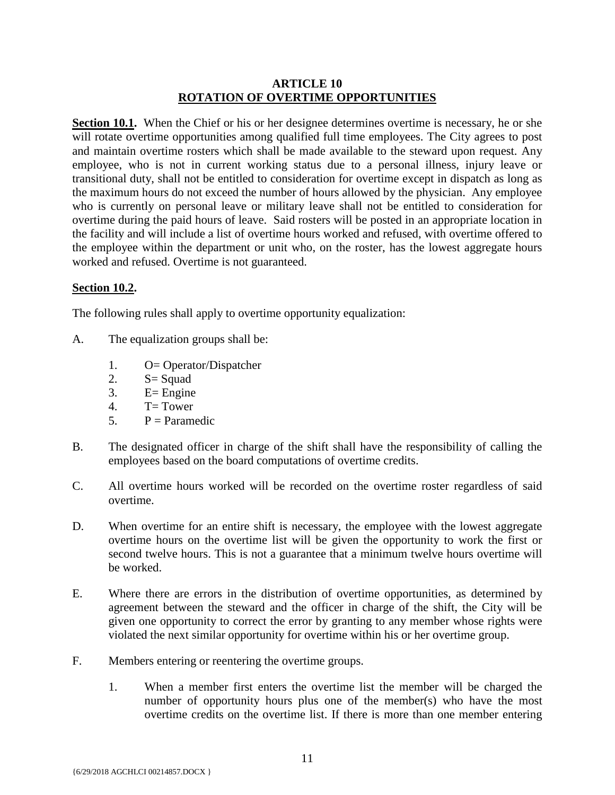#### **ARTICLE 10 ROTATION OF OVERTIME OPPORTUNITIES**

<span id="page-12-0"></span>**Section 10.1.** When the Chief or his or her designee determines overtime is necessary, he or she will rotate overtime opportunities among qualified full time employees. The City agrees to post and maintain overtime rosters which shall be made available to the steward upon request. Any employee, who is not in current working status due to a personal illness, injury leave or transitional duty, shall not be entitled to consideration for overtime except in dispatch as long as the maximum hours do not exceed the number of hours allowed by the physician. Any employee who is currently on personal leave or military leave shall not be entitled to consideration for overtime during the paid hours of leave. Said rosters will be posted in an appropriate location in the facility and will include a list of overtime hours worked and refused, with overtime offered to the employee within the department or unit who, on the roster, has the lowest aggregate hours worked and refused. Overtime is not guaranteed.

#### **Section 10.2.**

The following rules shall apply to overtime opportunity equalization:

- A. The equalization groups shall be:
	- 1. O= Operator/Dispatcher
	- 2.  $S = Squad$
	- $3.$  E= Engine
	- 4.  $T = Tower$
	- 5.  $P = \text{Parameter}$
- B. The designated officer in charge of the shift shall have the responsibility of calling the employees based on the board computations of overtime credits.
- C. All overtime hours worked will be recorded on the overtime roster regardless of said overtime.
- D. When overtime for an entire shift is necessary, the employee with the lowest aggregate overtime hours on the overtime list will be given the opportunity to work the first or second twelve hours. This is not a guarantee that a minimum twelve hours overtime will be worked.
- E. Where there are errors in the distribution of overtime opportunities, as determined by agreement between the steward and the officer in charge of the shift, the City will be given one opportunity to correct the error by granting to any member whose rights were violated the next similar opportunity for overtime within his or her overtime group.
- F. Members entering or reentering the overtime groups.
	- 1. When a member first enters the overtime list the member will be charged the number of opportunity hours plus one of the member(s) who have the most overtime credits on the overtime list. If there is more than one member entering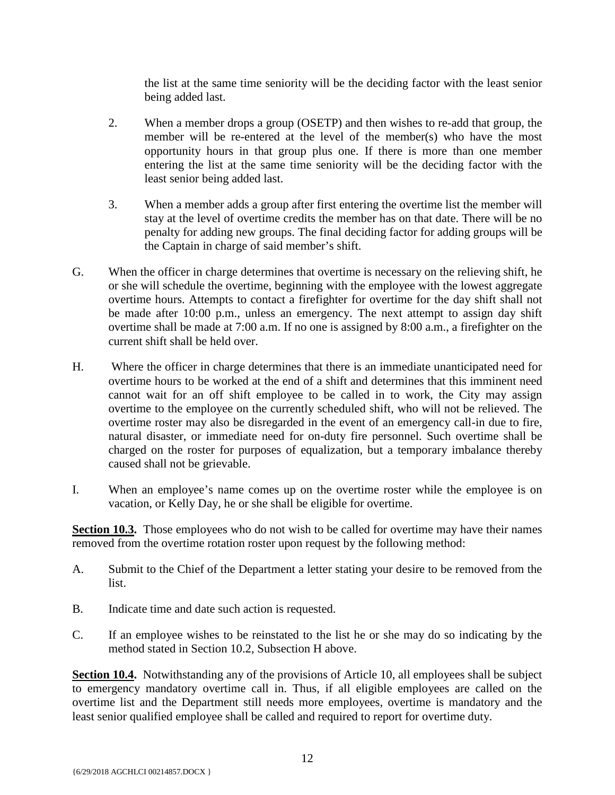the list at the same time seniority will be the deciding factor with the least senior being added last.

- 2. When a member drops a group (OSETP) and then wishes to re-add that group, the member will be re-entered at the level of the member(s) who have the most opportunity hours in that group plus one. If there is more than one member entering the list at the same time seniority will be the deciding factor with the least senior being added last.
- 3. When a member adds a group after first entering the overtime list the member will stay at the level of overtime credits the member has on that date. There will be no penalty for adding new groups. The final deciding factor for adding groups will be the Captain in charge of said member's shift.
- G. When the officer in charge determines that overtime is necessary on the relieving shift, he or she will schedule the overtime, beginning with the employee with the lowest aggregate overtime hours. Attempts to contact a firefighter for overtime for the day shift shall not be made after 10:00 p.m., unless an emergency. The next attempt to assign day shift overtime shall be made at 7:00 a.m. If no one is assigned by 8:00 a.m., a firefighter on the current shift shall be held over.
- H. Where the officer in charge determines that there is an immediate unanticipated need for overtime hours to be worked at the end of a shift and determines that this imminent need cannot wait for an off shift employee to be called in to work, the City may assign overtime to the employee on the currently scheduled shift, who will not be relieved. The overtime roster may also be disregarded in the event of an emergency call-in due to fire, natural disaster, or immediate need for on-duty fire personnel. Such overtime shall be charged on the roster for purposes of equalization, but a temporary imbalance thereby caused shall not be grievable.
- I. When an employee's name comes up on the overtime roster while the employee is on vacation, or Kelly Day, he or she shall be eligible for overtime.

**Section 10.3.** Those employees who do not wish to be called for overtime may have their names removed from the overtime rotation roster upon request by the following method:

- A. Submit to the Chief of the Department a letter stating your desire to be removed from the list.
- B. Indicate time and date such action is requested.
- C. If an employee wishes to be reinstated to the list he or she may do so indicating by the method stated in Section 10.2, Subsection H above.

**Section 10.4.** Notwithstanding any of the provisions of Article 10, all employees shall be subject to emergency mandatory overtime call in. Thus, if all eligible employees are called on the overtime list and the Department still needs more employees, overtime is mandatory and the least senior qualified employee shall be called and required to report for overtime duty.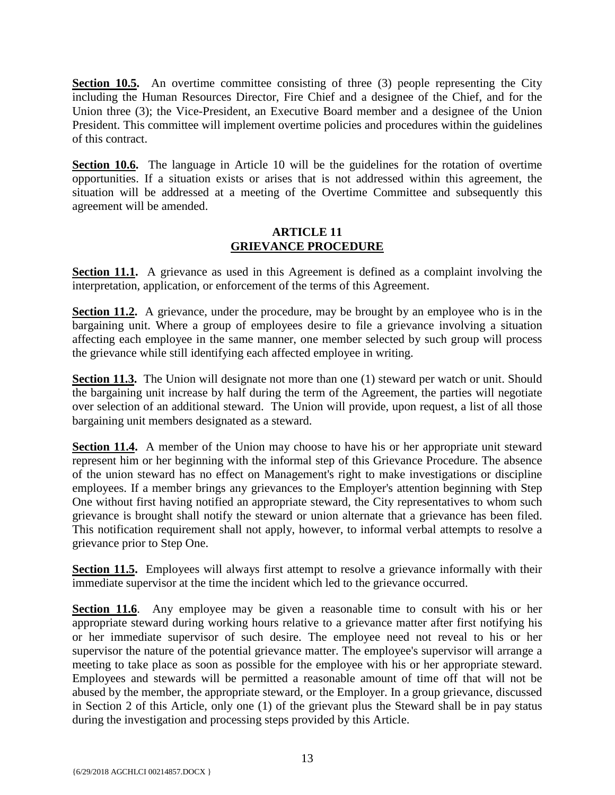**Section 10.5.** An overtime committee consisting of three (3) people representing the City including the Human Resources Director, Fire Chief and a designee of the Chief, and for the Union three (3); the Vice-President, an Executive Board member and a designee of the Union President. This committee will implement overtime policies and procedures within the guidelines of this contract.

**Section 10.6.** The language in Article 10 will be the guidelines for the rotation of overtime opportunities. If a situation exists or arises that is not addressed within this agreement, the situation will be addressed at a meeting of the Overtime Committee and subsequently this agreement will be amended.

#### **ARTICLE 11 GRIEVANCE PROCEDURE**

<span id="page-14-0"></span>**Section 11.1.** A grievance as used in this Agreement is defined as a complaint involving the interpretation, application, or enforcement of the terms of this Agreement.

**Section 11.2.** A grievance, under the procedure, may be brought by an employee who is in the bargaining unit. Where a group of employees desire to file a grievance involving a situation affecting each employee in the same manner, one member selected by such group will process the grievance while still identifying each affected employee in writing.

**Section 11.3.** The Union will designate not more than one (1) steward per watch or unit. Should the bargaining unit increase by half during the term of the Agreement, the parties will negotiate over selection of an additional steward. The Union will provide, upon request, a list of all those bargaining unit members designated as a steward.

**Section 11.4.** A member of the Union may choose to have his or her appropriate unit steward represent him or her beginning with the informal step of this Grievance Procedure. The absence of the union steward has no effect on Management's right to make investigations or discipline employees. If a member brings any grievances to the Employer's attention beginning with Step One without first having notified an appropriate steward, the City representatives to whom such grievance is brought shall notify the steward or union alternate that a grievance has been filed. This notification requirement shall not apply, however, to informal verbal attempts to resolve a grievance prior to Step One.

**Section 11.5.** Employees will always first attempt to resolve a grievance informally with their immediate supervisor at the time the incident which led to the grievance occurred.

**Section 11.6**. Any employee may be given a reasonable time to consult with his or her appropriate steward during working hours relative to a grievance matter after first notifying his or her immediate supervisor of such desire. The employee need not reveal to his or her supervisor the nature of the potential grievance matter. The employee's supervisor will arrange a meeting to take place as soon as possible for the employee with his or her appropriate steward. Employees and stewards will be permitted a reasonable amount of time off that will not be abused by the member, the appropriate steward, or the Employer. In a group grievance, discussed in Section 2 of this Article, only one (1) of the grievant plus the Steward shall be in pay status during the investigation and processing steps provided by this Article.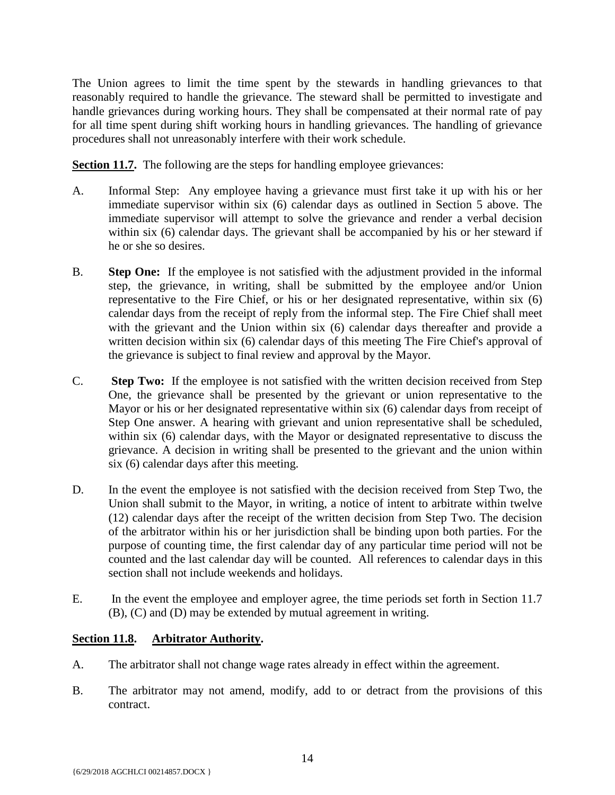The Union agrees to limit the time spent by the stewards in handling grievances to that reasonably required to handle the grievance. The steward shall be permitted to investigate and handle grievances during working hours. They shall be compensated at their normal rate of pay for all time spent during shift working hours in handling grievances. The handling of grievance procedures shall not unreasonably interfere with their work schedule.

**Section 11.7.** The following are the steps for handling employee grievances:

- A. Informal Step: Any employee having a grievance must first take it up with his or her immediate supervisor within six (6) calendar days as outlined in Section 5 above. The immediate supervisor will attempt to solve the grievance and render a verbal decision within six (6) calendar days. The grievant shall be accompanied by his or her steward if he or she so desires.
- B. **Step One:** If the employee is not satisfied with the adjustment provided in the informal step, the grievance, in writing, shall be submitted by the employee and/or Union representative to the Fire Chief, or his or her designated representative, within six (6) calendar days from the receipt of reply from the informal step. The Fire Chief shall meet with the grievant and the Union within six (6) calendar days thereafter and provide a written decision within six (6) calendar days of this meeting The Fire Chief's approval of the grievance is subject to final review and approval by the Mayor.
- C. **Step Two:** If the employee is not satisfied with the written decision received from Step One, the grievance shall be presented by the grievant or union representative to the Mayor or his or her designated representative within six (6) calendar days from receipt of Step One answer. A hearing with grievant and union representative shall be scheduled, within six (6) calendar days, with the Mayor or designated representative to discuss the grievance. A decision in writing shall be presented to the grievant and the union within six (6) calendar days after this meeting.
- D. In the event the employee is not satisfied with the decision received from Step Two, the Union shall submit to the Mayor, in writing, a notice of intent to arbitrate within twelve (12) calendar days after the receipt of the written decision from Step Two. The decision of the arbitrator within his or her jurisdiction shall be binding upon both parties. For the purpose of counting time, the first calendar day of any particular time period will not be counted and the last calendar day will be counted. All references to calendar days in this section shall not include weekends and holidays.
- E. In the event the employee and employer agree, the time periods set forth in Section 11.7 (B), (C) and (D) may be extended by mutual agreement in writing.

## **Section 11.8. Arbitrator Authority.**

- A. The arbitrator shall not change wage rates already in effect within the agreement.
- B. The arbitrator may not amend, modify, add to or detract from the provisions of this contract.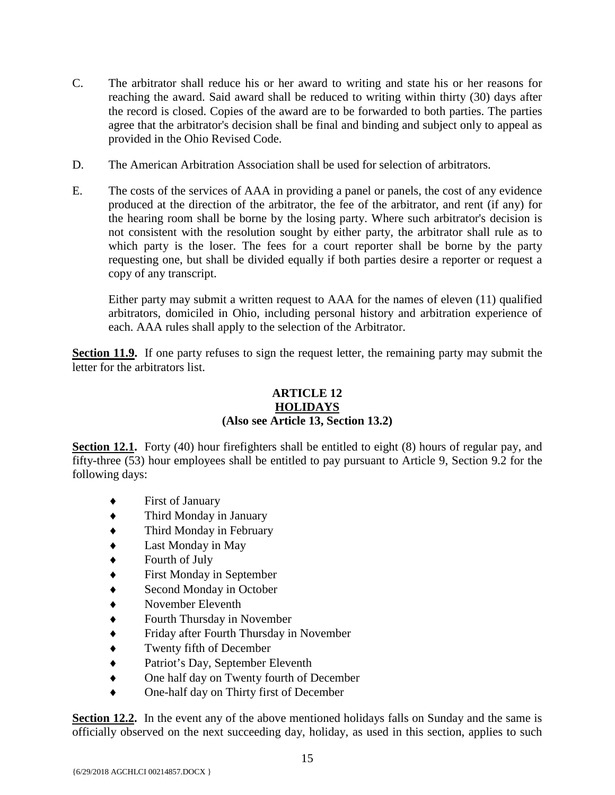- C. The arbitrator shall reduce his or her award to writing and state his or her reasons for reaching the award. Said award shall be reduced to writing within thirty (30) days after the record is closed. Copies of the award are to be forwarded to both parties. The parties agree that the arbitrator's decision shall be final and binding and subject only to appeal as provided in the Ohio Revised Code.
- D. The American Arbitration Association shall be used for selection of arbitrators.
- E. The costs of the services of AAA in providing a panel or panels, the cost of any evidence produced at the direction of the arbitrator, the fee of the arbitrator, and rent (if any) for the hearing room shall be borne by the losing party. Where such arbitrator's decision is not consistent with the resolution sought by either party, the arbitrator shall rule as to which party is the loser. The fees for a court reporter shall be borne by the party requesting one, but shall be divided equally if both parties desire a reporter or request a copy of any transcript.

Either party may submit a written request to AAA for the names of eleven (11) qualified arbitrators, domiciled in Ohio, including personal history and arbitration experience of each. AAA rules shall apply to the selection of the Arbitrator.

**Section 11.9.** If one party refuses to sign the request letter, the remaining party may submit the letter for the arbitrators list.

#### **ARTICLE 12 HOLIDAYS (Also see Article 13, Section 13.2)**

<span id="page-16-0"></span>**Section 12.1.** Forty (40) hour firefighters shall be entitled to eight (8) hours of regular pay, and fifty-three (53) hour employees shall be entitled to pay pursuant to Article 9, Section 9.2 for the following days:

- First of January
- ♦ Third Monday in January
- ♦ Third Monday in February
- ♦ Last Monday in May
- ♦ Fourth of July
- ♦ First Monday in September
- ♦ Second Monday in October
- ♦ November Eleventh
- ♦ Fourth Thursday in November
- ♦ Friday after Fourth Thursday in November
- Twenty fifth of December
- ♦ Patriot's Day, September Eleventh
- ♦ One half day on Twenty fourth of December
- One-half day on Thirty first of December

**Section 12.2.** In the event any of the above mentioned holidays falls on Sunday and the same is officially observed on the next succeeding day, holiday, as used in this section, applies to such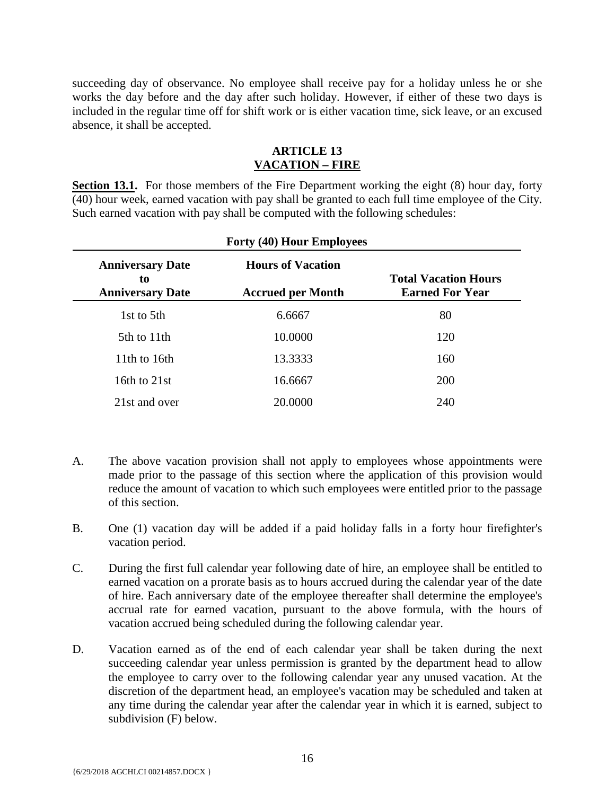succeeding day of observance. No employee shall receive pay for a holiday unless he or she works the day before and the day after such holiday. However, if either of these two days is included in the regular time off for shift work or is either vacation time, sick leave, or an excused absence, it shall be accepted.

#### **ARTICLE 13 VACATION – FIRE**

<span id="page-17-0"></span>**Section 13.1.** For those members of the Fire Department working the eight (8) hour day, forty (40) hour week, earned vacation with pay shall be granted to each full time employee of the City. Such earned vacation with pay shall be computed with the following schedules:

| <b>Forty (40) Hour Employees</b>                         |                                                      |                                                       |  |
|----------------------------------------------------------|------------------------------------------------------|-------------------------------------------------------|--|
| <b>Anniversary Date</b><br>to<br><b>Anniversary Date</b> | <b>Hours of Vacation</b><br><b>Accrued per Month</b> | <b>Total Vacation Hours</b><br><b>Earned For Year</b> |  |
| 1st to 5th                                               | 6.6667                                               | 80                                                    |  |
| 5th to 11th                                              | 10.0000                                              | 120                                                   |  |
| 11th to $16th$                                           | 13.3333                                              | 160                                                   |  |
| 16th to 21st                                             | 16.6667                                              | 200                                                   |  |
| 21st and over                                            | 20.0000                                              | 240                                                   |  |

- A. The above vacation provision shall not apply to employees whose appointments were made prior to the passage of this section where the application of this provision would reduce the amount of vacation to which such employees were entitled prior to the passage of this section.
- B. One (1) vacation day will be added if a paid holiday falls in a forty hour firefighter's vacation period.
- C. During the first full calendar year following date of hire, an employee shall be entitled to earned vacation on a prorate basis as to hours accrued during the calendar year of the date of hire. Each anniversary date of the employee thereafter shall determine the employee's accrual rate for earned vacation, pursuant to the above formula, with the hours of vacation accrued being scheduled during the following calendar year.
- D. Vacation earned as of the end of each calendar year shall be taken during the next succeeding calendar year unless permission is granted by the department head to allow the employee to carry over to the following calendar year any unused vacation. At the discretion of the department head, an employee's vacation may be scheduled and taken at any time during the calendar year after the calendar year in which it is earned, subject to subdivision (F) below.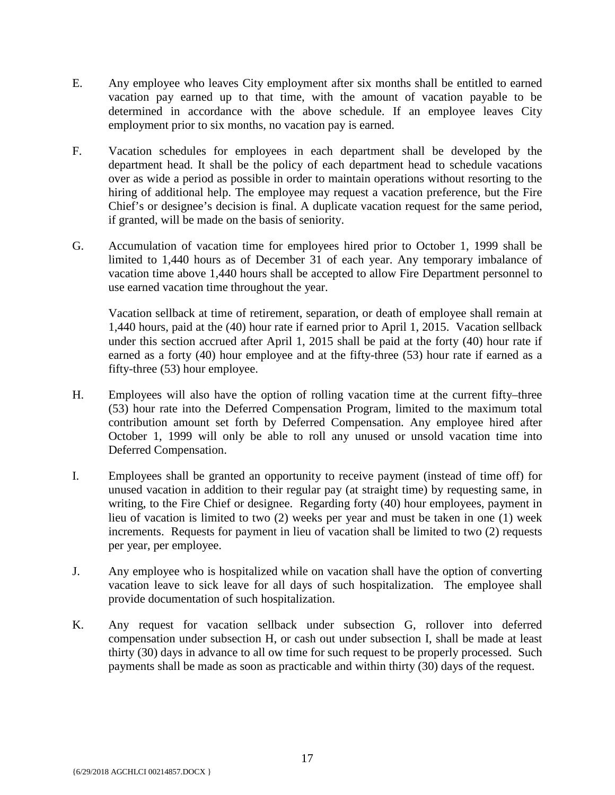- E. Any employee who leaves City employment after six months shall be entitled to earned vacation pay earned up to that time, with the amount of vacation payable to be determined in accordance with the above schedule. If an employee leaves City employment prior to six months, no vacation pay is earned.
- F. Vacation schedules for employees in each department shall be developed by the department head. It shall be the policy of each department head to schedule vacations over as wide a period as possible in order to maintain operations without resorting to the hiring of additional help. The employee may request a vacation preference, but the Fire Chief's or designee's decision is final. A duplicate vacation request for the same period, if granted, will be made on the basis of seniority.
- G. Accumulation of vacation time for employees hired prior to October 1, 1999 shall be limited to 1,440 hours as of December 31 of each year. Any temporary imbalance of vacation time above 1,440 hours shall be accepted to allow Fire Department personnel to use earned vacation time throughout the year.

Vacation sellback at time of retirement, separation, or death of employee shall remain at 1,440 hours, paid at the (40) hour rate if earned prior to April 1, 2015. Vacation sellback under this section accrued after April 1, 2015 shall be paid at the forty (40) hour rate if earned as a forty (40) hour employee and at the fifty-three (53) hour rate if earned as a fifty-three (53) hour employee.

- H. Employees will also have the option of rolling vacation time at the current fifty–three (53) hour rate into the Deferred Compensation Program, limited to the maximum total contribution amount set forth by Deferred Compensation. Any employee hired after October 1, 1999 will only be able to roll any unused or unsold vacation time into Deferred Compensation.
- I. Employees shall be granted an opportunity to receive payment (instead of time off) for unused vacation in addition to their regular pay (at straight time) by requesting same, in writing, to the Fire Chief or designee. Regarding forty (40) hour employees, payment in lieu of vacation is limited to two (2) weeks per year and must be taken in one (1) week increments. Requests for payment in lieu of vacation shall be limited to two (2) requests per year, per employee.
- J. Any employee who is hospitalized while on vacation shall have the option of converting vacation leave to sick leave for all days of such hospitalization. The employee shall provide documentation of such hospitalization.
- K. Any request for vacation sellback under subsection G, rollover into deferred compensation under subsection H, or cash out under subsection I, shall be made at least thirty (30) days in advance to all ow time for such request to be properly processed. Such payments shall be made as soon as practicable and within thirty (30) days of the request.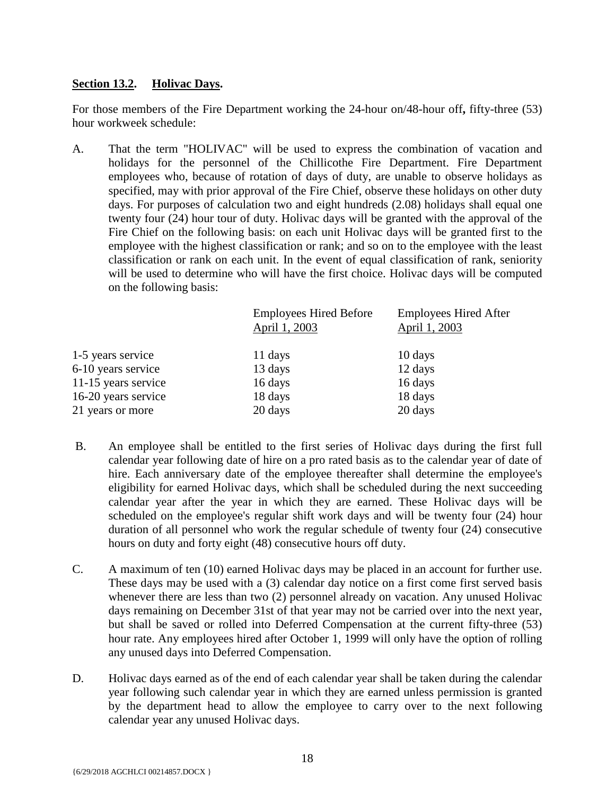## **Section 13.2. Holivac Days.**

For those members of the Fire Department working the 24-hour on/48-hour off**,** fifty-three (53) hour workweek schedule:

A. That the term "HOLIVAC" will be used to express the combination of vacation and holidays for the personnel of the Chillicothe Fire Department. Fire Department employees who, because of rotation of days of duty, are unable to observe holidays as specified, may with prior approval of the Fire Chief, observe these holidays on other duty days. For purposes of calculation two and eight hundreds (2.08) holidays shall equal one twenty four (24) hour tour of duty. Holivac days will be granted with the approval of the Fire Chief on the following basis: on each unit Holivac days will be granted first to the employee with the highest classification or rank; and so on to the employee with the least classification or rank on each unit. In the event of equal classification of rank, seniority will be used to determine who will have the first choice. Holivac days will be computed on the following basis:

| <b>Employees Hired Before</b><br>April 1, 2003 | <b>Employees Hired After</b><br>April 1, 2003 |  |
|------------------------------------------------|-----------------------------------------------|--|
| 11 days                                        | 10 days                                       |  |
| 13 days                                        | 12 days                                       |  |
| 16 days                                        | 16 days                                       |  |
| 18 days                                        | 18 days                                       |  |
| 20 days                                        | 20 days                                       |  |
|                                                |                                               |  |

- B. An employee shall be entitled to the first series of Holivac days during the first full calendar year following date of hire on a pro rated basis as to the calendar year of date of hire. Each anniversary date of the employee thereafter shall determine the employee's eligibility for earned Holivac days, which shall be scheduled during the next succeeding calendar year after the year in which they are earned. These Holivac days will be scheduled on the employee's regular shift work days and will be twenty four (24) hour duration of all personnel who work the regular schedule of twenty four (24) consecutive hours on duty and forty eight (48) consecutive hours off duty.
- C. A maximum of ten (10) earned Holivac days may be placed in an account for further use. These days may be used with a (3) calendar day notice on a first come first served basis whenever there are less than two (2) personnel already on vacation. Any unused Holivac days remaining on December 31st of that year may not be carried over into the next year, but shall be saved or rolled into Deferred Compensation at the current fifty-three (53) hour rate. Any employees hired after October 1, 1999 will only have the option of rolling any unused days into Deferred Compensation.
- D. Holivac days earned as of the end of each calendar year shall be taken during the calendar year following such calendar year in which they are earned unless permission is granted by the department head to allow the employee to carry over to the next following calendar year any unused Holivac days.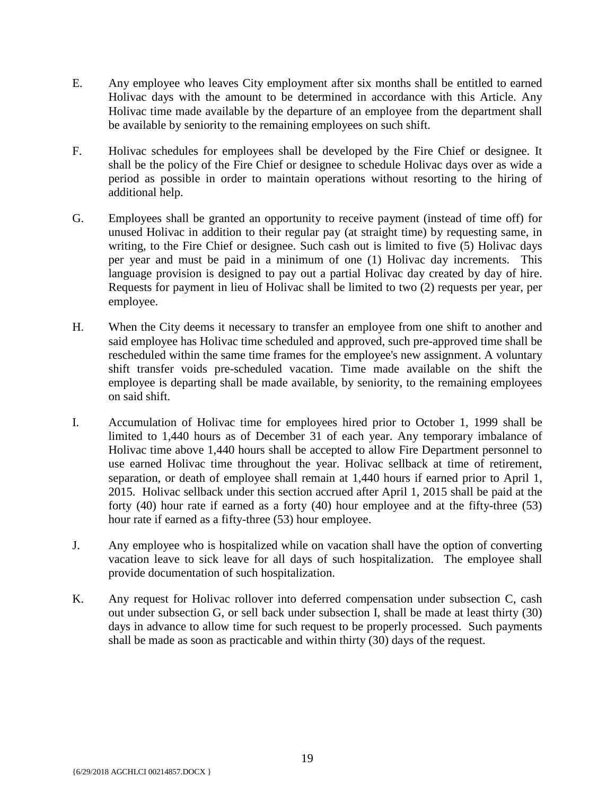- E. Any employee who leaves City employment after six months shall be entitled to earned Holivac days with the amount to be determined in accordance with this Article. Any Holivac time made available by the departure of an employee from the department shall be available by seniority to the remaining employees on such shift.
- F. Holivac schedules for employees shall be developed by the Fire Chief or designee. It shall be the policy of the Fire Chief or designee to schedule Holivac days over as wide a period as possible in order to maintain operations without resorting to the hiring of additional help.
- G. Employees shall be granted an opportunity to receive payment (instead of time off) for unused Holivac in addition to their regular pay (at straight time) by requesting same, in writing, to the Fire Chief or designee. Such cash out is limited to five (5) Holivac days per year and must be paid in a minimum of one (1) Holivac day increments. This language provision is designed to pay out a partial Holivac day created by day of hire. Requests for payment in lieu of Holivac shall be limited to two (2) requests per year, per employee.
- H. When the City deems it necessary to transfer an employee from one shift to another and said employee has Holivac time scheduled and approved, such pre-approved time shall be rescheduled within the same time frames for the employee's new assignment. A voluntary shift transfer voids pre-scheduled vacation. Time made available on the shift the employee is departing shall be made available, by seniority, to the remaining employees on said shift.
- I. Accumulation of Holivac time for employees hired prior to October 1, 1999 shall be limited to 1,440 hours as of December 31 of each year. Any temporary imbalance of Holivac time above 1,440 hours shall be accepted to allow Fire Department personnel to use earned Holivac time throughout the year. Holivac sellback at time of retirement, separation, or death of employee shall remain at 1,440 hours if earned prior to April 1, 2015. Holivac sellback under this section accrued after April 1, 2015 shall be paid at the forty (40) hour rate if earned as a forty (40) hour employee and at the fifty-three (53) hour rate if earned as a fifty-three (53) hour employee.
- J. Any employee who is hospitalized while on vacation shall have the option of converting vacation leave to sick leave for all days of such hospitalization. The employee shall provide documentation of such hospitalization.
- K. Any request for Holivac rollover into deferred compensation under subsection C, cash out under subsection G, or sell back under subsection I, shall be made at least thirty (30) days in advance to allow time for such request to be properly processed. Such payments shall be made as soon as practicable and within thirty (30) days of the request.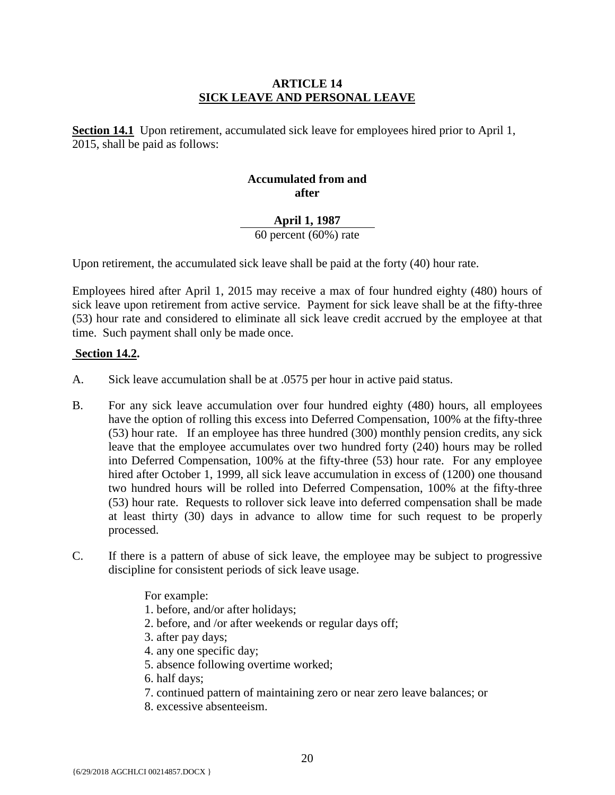#### **ARTICLE 14 SICK LEAVE AND PERSONAL LEAVE**

<span id="page-21-0"></span>**Section 14.1** Upon retirement, accumulated sick leave for employees hired prior to April 1, 2015, shall be paid as follows:

## **Accumulated from and after**

#### **April 1, 1987** 60 percent (60%) rate

Upon retirement, the accumulated sick leave shall be paid at the forty (40) hour rate.

Employees hired after April 1, 2015 may receive a max of four hundred eighty (480) hours of sick leave upon retirement from active service. Payment for sick leave shall be at the fifty-three (53) hour rate and considered to eliminate all sick leave credit accrued by the employee at that time. Such payment shall only be made once.

#### **Section 14.2.**

- A. Sick leave accumulation shall be at .0575 per hour in active paid status.
- B. For any sick leave accumulation over four hundred eighty (480) hours, all employees have the option of rolling this excess into Deferred Compensation, 100% at the fifty-three (53) hour rate. If an employee has three hundred (300) monthly pension credits, any sick leave that the employee accumulates over two hundred forty (240) hours may be rolled into Deferred Compensation, 100% at the fifty-three (53) hour rate. For any employee hired after October 1, 1999, all sick leave accumulation in excess of (1200) one thousand two hundred hours will be rolled into Deferred Compensation, 100% at the fifty-three (53) hour rate. Requests to rollover sick leave into deferred compensation shall be made at least thirty (30) days in advance to allow time for such request to be properly processed.
- C. If there is a pattern of abuse of sick leave, the employee may be subject to progressive discipline for consistent periods of sick leave usage.

For example:

- 1. before, and/or after holidays;
- 2. before, and /or after weekends or regular days off;
- 3. after pay days;
- 4. any one specific day;
- 5. absence following overtime worked;
- 6. half days;
- 7. continued pattern of maintaining zero or near zero leave balances; or
- 8. excessive absenteeism.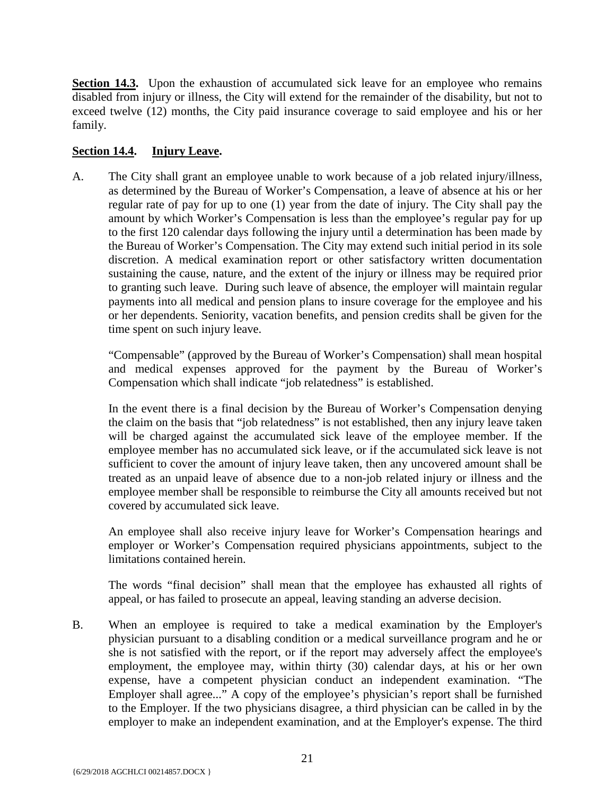**Section 14.3.** Upon the exhaustion of accumulated sick leave for an employee who remains disabled from injury or illness, the City will extend for the remainder of the disability, but not to exceed twelve (12) months, the City paid insurance coverage to said employee and his or her family.

#### **Section 14.4. Injury Leave.**

A. The City shall grant an employee unable to work because of a job related injury/illness, as determined by the Bureau of Worker's Compensation, a leave of absence at his or her regular rate of pay for up to one (1) year from the date of injury. The City shall pay the amount by which Worker's Compensation is less than the employee's regular pay for up to the first 120 calendar days following the injury until a determination has been made by the Bureau of Worker's Compensation. The City may extend such initial period in its sole discretion. A medical examination report or other satisfactory written documentation sustaining the cause, nature, and the extent of the injury or illness may be required prior to granting such leave.During such leave of absence, the employer will maintain regular payments into all medical and pension plans to insure coverage for the employee and his or her dependents. Seniority, vacation benefits, and pension credits shall be given for the time spent on such injury leave.

"Compensable" (approved by the Bureau of Worker's Compensation) shall mean hospital and medical expenses approved for the payment by the Bureau of Worker's Compensation which shall indicate "job relatedness" is established.

In the event there is a final decision by the Bureau of Worker's Compensation denying the claim on the basis that "job relatedness" is not established, then any injury leave taken will be charged against the accumulated sick leave of the employee member. If the employee member has no accumulated sick leave, or if the accumulated sick leave is not sufficient to cover the amount of injury leave taken, then any uncovered amount shall be treated as an unpaid leave of absence due to a non-job related injury or illness and the employee member shall be responsible to reimburse the City all amounts received but not covered by accumulated sick leave.

An employee shall also receive injury leave for Worker's Compensation hearings and employer or Worker's Compensation required physicians appointments, subject to the limitations contained herein.

The words "final decision" shall mean that the employee has exhausted all rights of appeal, or has failed to prosecute an appeal, leaving standing an adverse decision.

B. When an employee is required to take a medical examination by the Employer's physician pursuant to a disabling condition or a medical surveillance program and he or she is not satisfied with the report, or if the report may adversely affect the employee's employment, the employee may, within thirty (30) calendar days, at his or her own expense, have a competent physician conduct an independent examination. "The Employer shall agree..." A copy of the employee's physician's report shall be furnished to the Employer. If the two physicians disagree, a third physician can be called in by the employer to make an independent examination, and at the Employer's expense. The third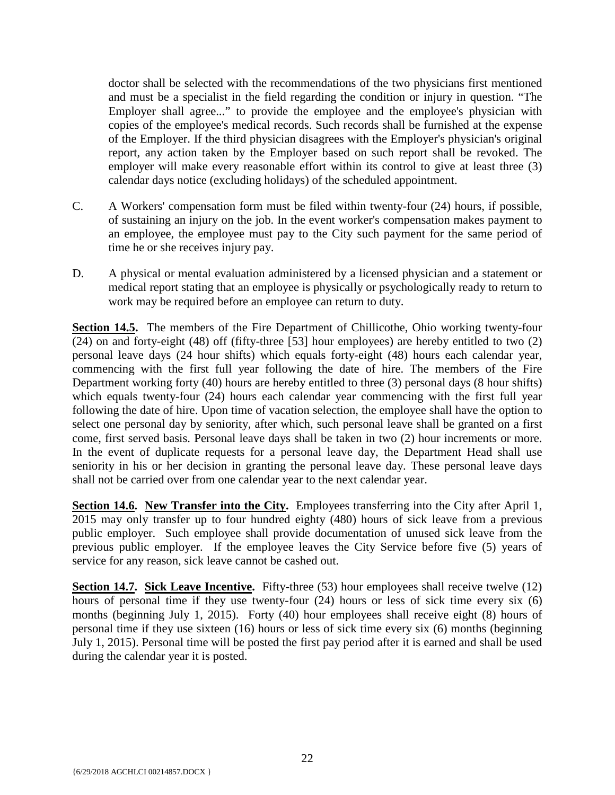doctor shall be selected with the recommendations of the two physicians first mentioned and must be a specialist in the field regarding the condition or injury in question. "The Employer shall agree..." to provide the employee and the employee's physician with copies of the employee's medical records. Such records shall be furnished at the expense of the Employer. If the third physician disagrees with the Employer's physician's original report, any action taken by the Employer based on such report shall be revoked. The employer will make every reasonable effort within its control to give at least three (3) calendar days notice (excluding holidays) of the scheduled appointment.

- C. A Workers' compensation form must be filed within twenty-four (24) hours, if possible, of sustaining an injury on the job. In the event worker's compensation makes payment to an employee, the employee must pay to the City such payment for the same period of time he or she receives injury pay.
- D. A physical or mental evaluation administered by a licensed physician and a statement or medical report stating that an employee is physically or psychologically ready to return to work may be required before an employee can return to duty.

**Section 14.5.** The members of the Fire Department of Chillicothe, Ohio working twenty-four (24) on and forty-eight (48) off (fifty-three [53] hour employees) are hereby entitled to two (2) personal leave days (24 hour shifts) which equals forty-eight (48) hours each calendar year, commencing with the first full year following the date of hire. The members of the Fire Department working forty (40) hours are hereby entitled to three (3) personal days (8 hour shifts) which equals twenty-four (24) hours each calendar year commencing with the first full year following the date of hire. Upon time of vacation selection, the employee shall have the option to select one personal day by seniority, after which, such personal leave shall be granted on a first come, first served basis. Personal leave days shall be taken in two (2) hour increments or more. In the event of duplicate requests for a personal leave day, the Department Head shall use seniority in his or her decision in granting the personal leave day. These personal leave days shall not be carried over from one calendar year to the next calendar year.

**Section 14.6. New Transfer into the City.** Employees transferring into the City after April 1, 2015 may only transfer up to four hundred eighty (480) hours of sick leave from a previous public employer. Such employee shall provide documentation of unused sick leave from the previous public employer. If the employee leaves the City Service before five (5) years of service for any reason, sick leave cannot be cashed out.

**Section 14.7. Sick Leave Incentive.** Fifty-three (53) hour employees shall receive twelve (12) hours of personal time if they use twenty-four (24) hours or less of sick time every six (6) months (beginning July 1, 2015). Forty (40) hour employees shall receive eight (8) hours of personal time if they use sixteen (16) hours or less of sick time every six (6) months (beginning July 1, 2015). Personal time will be posted the first pay period after it is earned and shall be used during the calendar year it is posted.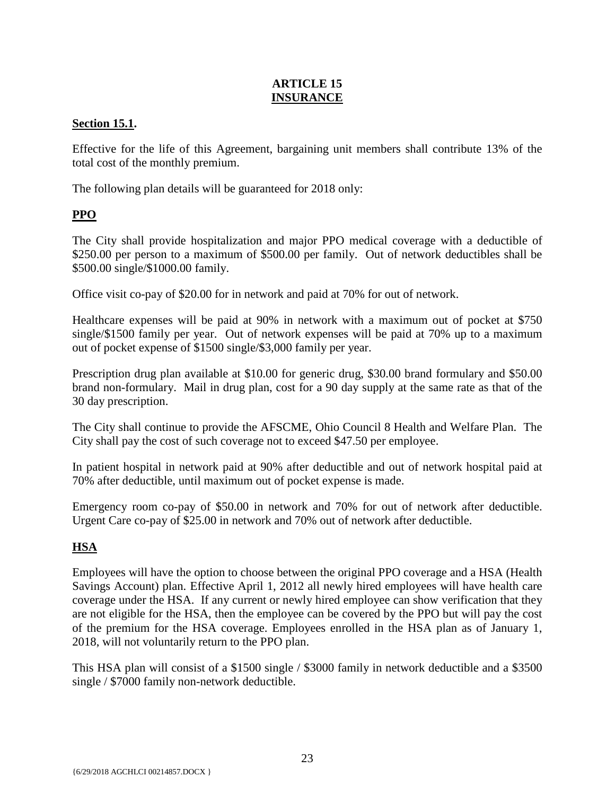## **ARTICLE 15 INSURANCE**

#### <span id="page-24-0"></span>**Section 15.1.**

Effective for the life of this Agreement, bargaining unit members shall contribute 13% of the total cost of the monthly premium.

The following plan details will be guaranteed for 2018 only:

## **PPO**

The City shall provide hospitalization and major PPO medical coverage with a deductible of \$250.00 per person to a maximum of \$500.00 per family. Out of network deductibles shall be \$500.00 single/\$1000.00 family.

Office visit co-pay of \$20.00 for in network and paid at 70% for out of network.

Healthcare expenses will be paid at 90% in network with a maximum out of pocket at \$750 single/\$1500 family per year. Out of network expenses will be paid at 70% up to a maximum out of pocket expense of \$1500 single/\$3,000 family per year.

Prescription drug plan available at \$10.00 for generic drug, \$30.00 brand formulary and \$50.00 brand non-formulary. Mail in drug plan, cost for a 90 day supply at the same rate as that of the 30 day prescription.

The City shall continue to provide the AFSCME, Ohio Council 8 Health and Welfare Plan. The City shall pay the cost of such coverage not to exceed \$47.50 per employee.

In patient hospital in network paid at 90% after deductible and out of network hospital paid at 70% after deductible, until maximum out of pocket expense is made.

Emergency room co-pay of \$50.00 in network and 70% for out of network after deductible. Urgent Care co-pay of \$25.00 in network and 70% out of network after deductible.

## **HSA**

Employees will have the option to choose between the original PPO coverage and a HSA (Health Savings Account) plan. Effective April 1, 2012 all newly hired employees will have health care coverage under the HSA. If any current or newly hired employee can show verification that they are not eligible for the HSA, then the employee can be covered by the PPO but will pay the cost of the premium for the HSA coverage. Employees enrolled in the HSA plan as of January 1, 2018, will not voluntarily return to the PPO plan.

This HSA plan will consist of a \$1500 single / \$3000 family in network deductible and a \$3500 single / \$7000 family non-network deductible.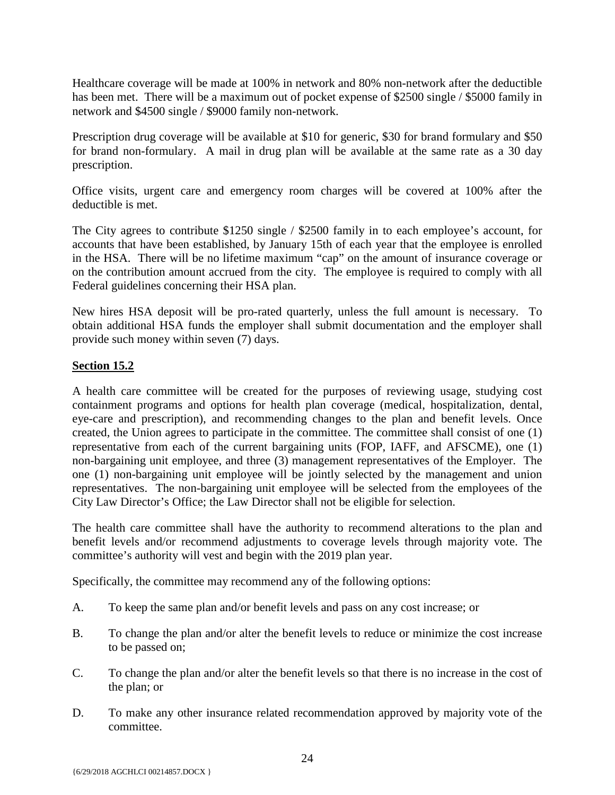Healthcare coverage will be made at 100% in network and 80% non-network after the deductible has been met. There will be a maximum out of pocket expense of \$2500 single / \$5000 family in network and \$4500 single / \$9000 family non-network.

Prescription drug coverage will be available at \$10 for generic, \$30 for brand formulary and \$50 for brand non-formulary. A mail in drug plan will be available at the same rate as a 30 day prescription.

Office visits, urgent care and emergency room charges will be covered at 100% after the deductible is met.

The City agrees to contribute \$1250 single / \$2500 family in to each employee's account, for accounts that have been established, by January 15th of each year that the employee is enrolled in the HSA. There will be no lifetime maximum "cap" on the amount of insurance coverage or on the contribution amount accrued from the city. The employee is required to comply with all Federal guidelines concerning their HSA plan.

New hires HSA deposit will be pro-rated quarterly, unless the full amount is necessary. To obtain additional HSA funds the employer shall submit documentation and the employer shall provide such money within seven (7) days.

## **Section 15.2**

A health care committee will be created for the purposes of reviewing usage, studying cost containment programs and options for health plan coverage (medical, hospitalization, dental, eye-care and prescription), and recommending changes to the plan and benefit levels. Once created, the Union agrees to participate in the committee. The committee shall consist of one (1) representative from each of the current bargaining units (FOP, IAFF, and AFSCME), one (1) non-bargaining unit employee, and three (3) management representatives of the Employer. The one (1) non-bargaining unit employee will be jointly selected by the management and union representatives. The non-bargaining unit employee will be selected from the employees of the City Law Director's Office; the Law Director shall not be eligible for selection.

The health care committee shall have the authority to recommend alterations to the plan and benefit levels and/or recommend adjustments to coverage levels through majority vote. The committee's authority will vest and begin with the 2019 plan year.

Specifically, the committee may recommend any of the following options:

- A. To keep the same plan and/or benefit levels and pass on any cost increase; or
- B. To change the plan and/or alter the benefit levels to reduce or minimize the cost increase to be passed on;
- C. To change the plan and/or alter the benefit levels so that there is no increase in the cost of the plan; or
- D. To make any other insurance related recommendation approved by majority vote of the committee.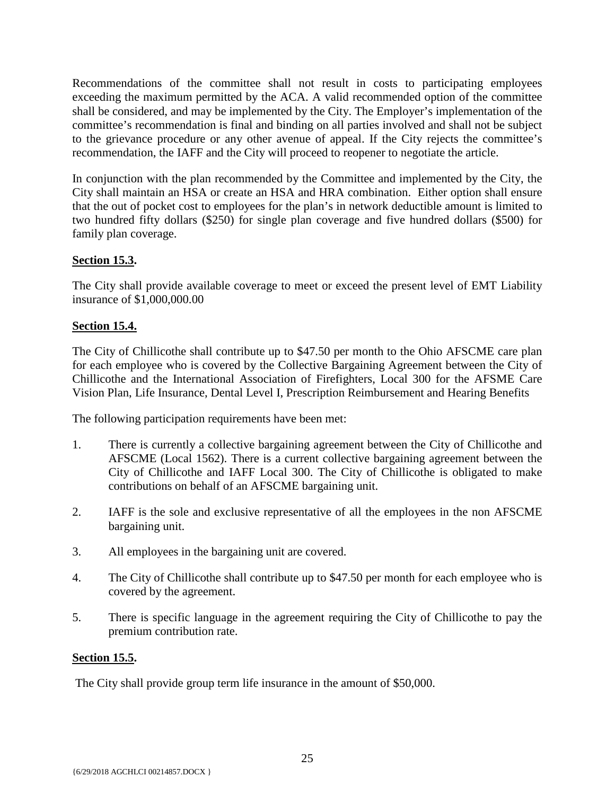Recommendations of the committee shall not result in costs to participating employees exceeding the maximum permitted by the ACA. A valid recommended option of the committee shall be considered, and may be implemented by the City. The Employer's implementation of the committee's recommendation is final and binding on all parties involved and shall not be subject to the grievance procedure or any other avenue of appeal. If the City rejects the committee's recommendation, the IAFF and the City will proceed to reopener to negotiate the article.

In conjunction with the plan recommended by the Committee and implemented by the City, the City shall maintain an HSA or create an HSA and HRA combination. Either option shall ensure that the out of pocket cost to employees for the plan's in network deductible amount is limited to two hundred fifty dollars (\$250) for single plan coverage and five hundred dollars (\$500) for family plan coverage.

## **Section 15.3.**

The City shall provide available coverage to meet or exceed the present level of EMT Liability insurance of \$1,000,000.00

#### **Section 15.4.**

The City of Chillicothe shall contribute up to \$47.50 per month to the Ohio AFSCME care plan for each employee who is covered by the Collective Bargaining Agreement between the City of Chillicothe and the International Association of Firefighters, Local 300 for the AFSME Care Vision Plan, Life Insurance, Dental Level I, Prescription Reimbursement and Hearing Benefits

The following participation requirements have been met:

- 1. There is currently a collective bargaining agreement between the City of Chillicothe and AFSCME (Local 1562). There is a current collective bargaining agreement between the City of Chillicothe and IAFF Local 300. The City of Chillicothe is obligated to make contributions on behalf of an AFSCME bargaining unit.
- 2. IAFF is the sole and exclusive representative of all the employees in the non AFSCME bargaining unit.
- 3. All employees in the bargaining unit are covered.
- 4. The City of Chillicothe shall contribute up to \$47.50 per month for each employee who is covered by the agreement.
- 5. There is specific language in the agreement requiring the City of Chillicothe to pay the premium contribution rate.

#### **Section 15.5.**

The City shall provide group term life insurance in the amount of \$50,000.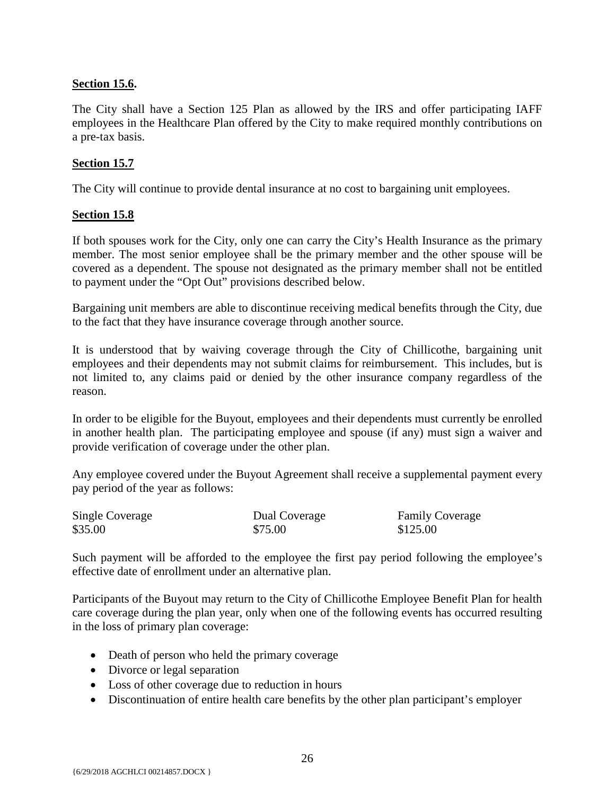## **Section 15.6.**

The City shall have a Section 125 Plan as allowed by the IRS and offer participating IAFF employees in the Healthcare Plan offered by the City to make required monthly contributions on a pre-tax basis.

#### **Section 15.7**

The City will continue to provide dental insurance at no cost to bargaining unit employees.

#### **Section 15.8**

If both spouses work for the City, only one can carry the City's Health Insurance as the primary member. The most senior employee shall be the primary member and the other spouse will be covered as a dependent. The spouse not designated as the primary member shall not be entitled to payment under the "Opt Out" provisions described below.

Bargaining unit members are able to discontinue receiving medical benefits through the City, due to the fact that they have insurance coverage through another source.

It is understood that by waiving coverage through the City of Chillicothe, bargaining unit employees and their dependents may not submit claims for reimbursement. This includes, but is not limited to, any claims paid or denied by the other insurance company regardless of the reason.

In order to be eligible for the Buyout, employees and their dependents must currently be enrolled in another health plan. The participating employee and spouse (if any) must sign a waiver and provide verification of coverage under the other plan.

Any employee covered under the Buyout Agreement shall receive a supplemental payment every pay period of the year as follows:

| <b>Single Coverage</b> | Dual Coverage | <b>Family Coverage</b> |
|------------------------|---------------|------------------------|
| \$35.00                | \$75.00       | \$125.00               |

Such payment will be afforded to the employee the first pay period following the employee's effective date of enrollment under an alternative plan.

Participants of the Buyout may return to the City of Chillicothe Employee Benefit Plan for health care coverage during the plan year, only when one of the following events has occurred resulting in the loss of primary plan coverage:

- Death of person who held the primary coverage
- Divorce or legal separation
- Loss of other coverage due to reduction in hours
- Discontinuation of entire health care benefits by the other plan participant's employer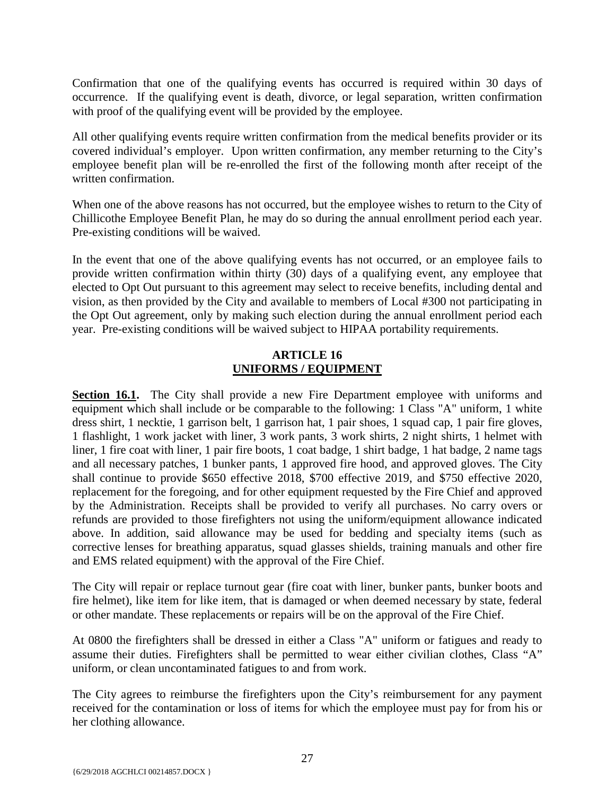Confirmation that one of the qualifying events has occurred is required within 30 days of occurrence. If the qualifying event is death, divorce, or legal separation, written confirmation with proof of the qualifying event will be provided by the employee.

All other qualifying events require written confirmation from the medical benefits provider or its covered individual's employer. Upon written confirmation, any member returning to the City's employee benefit plan will be re-enrolled the first of the following month after receipt of the written confirmation.

When one of the above reasons has not occurred, but the employee wishes to return to the City of Chillicothe Employee Benefit Plan, he may do so during the annual enrollment period each year. Pre-existing conditions will be waived.

In the event that one of the above qualifying events has not occurred, or an employee fails to provide written confirmation within thirty (30) days of a qualifying event, any employee that elected to Opt Out pursuant to this agreement may select to receive benefits, including dental and vision, as then provided by the City and available to members of Local #300 not participating in the Opt Out agreement, only by making such election during the annual enrollment period each year. Pre-existing conditions will be waived subject to HIPAA portability requirements.

#### **ARTICLE 16 UNIFORMS / EQUIPMENT**

<span id="page-28-0"></span>**Section 16.1.** The City shall provide a new Fire Department employee with uniforms and equipment which shall include or be comparable to the following: 1 Class "A" uniform, 1 white dress shirt, 1 necktie, 1 garrison belt, 1 garrison hat, 1 pair shoes, 1 squad cap, 1 pair fire gloves, 1 flashlight, 1 work jacket with liner, 3 work pants, 3 work shirts, 2 night shirts, 1 helmet with liner, 1 fire coat with liner, 1 pair fire boots, 1 coat badge, 1 shirt badge, 1 hat badge, 2 name tags and all necessary patches, 1 bunker pants, 1 approved fire hood, and approved gloves. The City shall continue to provide \$650 effective 2018, \$700 effective 2019, and \$750 effective 2020, replacement for the foregoing, and for other equipment requested by the Fire Chief and approved by the Administration. Receipts shall be provided to verify all purchases. No carry overs or refunds are provided to those firefighters not using the uniform/equipment allowance indicated above. In addition, said allowance may be used for bedding and specialty items (such as corrective lenses for breathing apparatus, squad glasses shields, training manuals and other fire and EMS related equipment) with the approval of the Fire Chief.

The City will repair or replace turnout gear (fire coat with liner, bunker pants, bunker boots and fire helmet), like item for like item, that is damaged or when deemed necessary by state, federal or other mandate. These replacements or repairs will be on the approval of the Fire Chief.

At 0800 the firefighters shall be dressed in either a Class "A" uniform or fatigues and ready to assume their duties. Firefighters shall be permitted to wear either civilian clothes, Class "A" uniform, or clean uncontaminated fatigues to and from work.

The City agrees to reimburse the firefighters upon the City's reimbursement for any payment received for the contamination or loss of items for which the employee must pay for from his or her clothing allowance.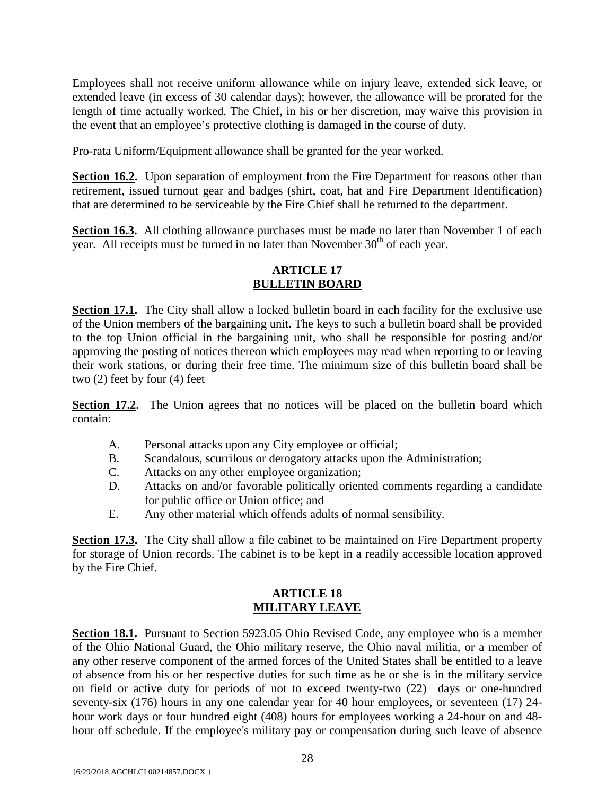Employees shall not receive uniform allowance while on injury leave, extended sick leave, or extended leave (in excess of 30 calendar days); however, the allowance will be prorated for the length of time actually worked. The Chief, in his or her discretion, may waive this provision in the event that an employee's protective clothing is damaged in the course of duty.

Pro-rata Uniform/Equipment allowance shall be granted for the year worked.

**Section 16.2.** Upon separation of employment from the Fire Department for reasons other than retirement, issued turnout gear and badges (shirt, coat, hat and Fire Department Identification) that are determined to be serviceable by the Fire Chief shall be returned to the department.

**Section 16.3.** All clothing allowance purchases must be made no later than November 1 of each year. All receipts must be turned in no later than November  $30<sup>th</sup>$  of each year.

#### **ARTICLE 17 BULLETIN BOARD**

<span id="page-29-0"></span>**Section 17.1.** The City shall allow a locked bulletin board in each facility for the exclusive use of the Union members of the bargaining unit. The keys to such a bulletin board shall be provided to the top Union official in the bargaining unit, who shall be responsible for posting and/or approving the posting of notices thereon which employees may read when reporting to or leaving their work stations, or during their free time. The minimum size of this bulletin board shall be two (2) feet by four (4) feet

**Section 17.2.** The Union agrees that no notices will be placed on the bulletin board which contain:

- A. Personal attacks upon any City employee or official;
- B. Scandalous, scurrilous or derogatory attacks upon the Administration;
- C. Attacks on any other employee organization;
- D. Attacks on and/or favorable politically oriented comments regarding a candidate for public office or Union office; and
- E. Any other material which offends adults of normal sensibility.

**Section 17.3.** The City shall allow a file cabinet to be maintained on Fire Department property for storage of Union records. The cabinet is to be kept in a readily accessible location approved by the Fire Chief.

#### **ARTICLE 18 MILITARY LEAVE**

<span id="page-29-1"></span>**Section 18.1.** Pursuant to Section 5923.05 Ohio Revised Code, any employee who is a member of the Ohio National Guard, the Ohio military reserve, the Ohio naval militia, or a member of any other reserve component of the armed forces of the United States shall be entitled to a leave of absence from his or her respective duties for such time as he or she is in the military service on field or active duty for periods of not to exceed twenty-two (22) days or one-hundred seventy-six (176) hours in any one calendar year for 40 hour employees, or seventeen (17) 24 hour work days or four hundred eight (408) hours for employees working a 24-hour on and 48 hour off schedule. If the employee's military pay or compensation during such leave of absence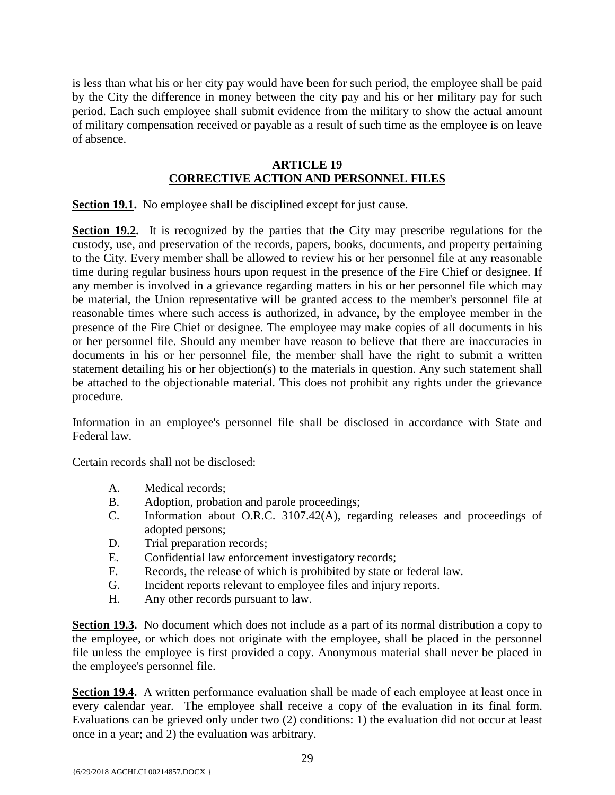is less than what his or her city pay would have been for such period, the employee shall be paid by the City the difference in money between the city pay and his or her military pay for such period. Each such employee shall submit evidence from the military to show the actual amount of military compensation received or payable as a result of such time as the employee is on leave of absence.

#### **ARTICLE 19 CORRECTIVE ACTION AND PERSONNEL FILES**

<span id="page-30-0"></span>**Section 19.1.** No employee shall be disciplined except for just cause.

**Section 19.2.** It is recognized by the parties that the City may prescribe regulations for the custody, use, and preservation of the records, papers, books, documents, and property pertaining to the City. Every member shall be allowed to review his or her personnel file at any reasonable time during regular business hours upon request in the presence of the Fire Chief or designee. If any member is involved in a grievance regarding matters in his or her personnel file which may be material, the Union representative will be granted access to the member's personnel file at reasonable times where such access is authorized, in advance, by the employee member in the presence of the Fire Chief or designee. The employee may make copies of all documents in his or her personnel file. Should any member have reason to believe that there are inaccuracies in documents in his or her personnel file, the member shall have the right to submit a written statement detailing his or her objection(s) to the materials in question. Any such statement shall be attached to the objectionable material. This does not prohibit any rights under the grievance procedure.

Information in an employee's personnel file shall be disclosed in accordance with State and Federal law.

Certain records shall not be disclosed:

- A. Medical records;
- B. Adoption, probation and parole proceedings;
- C. Information about O.R.C. 3107.42(A), regarding releases and proceedings of adopted persons;
- D. Trial preparation records;
- E. Confidential law enforcement investigatory records;
- F. Records, the release of which is prohibited by state or federal law.
- G. Incident reports relevant to employee files and injury reports.
- H. Any other records pursuant to law.

**Section 19.3.** No document which does not include as a part of its normal distribution a copy to the employee, or which does not originate with the employee, shall be placed in the personnel file unless the employee is first provided a copy. Anonymous material shall never be placed in the employee's personnel file.

**Section 19.4.** A written performance evaluation shall be made of each employee at least once in every calendar year. The employee shall receive a copy of the evaluation in its final form. Evaluations can be grieved only under two (2) conditions: 1) the evaluation did not occur at least once in a year; and 2) the evaluation was arbitrary.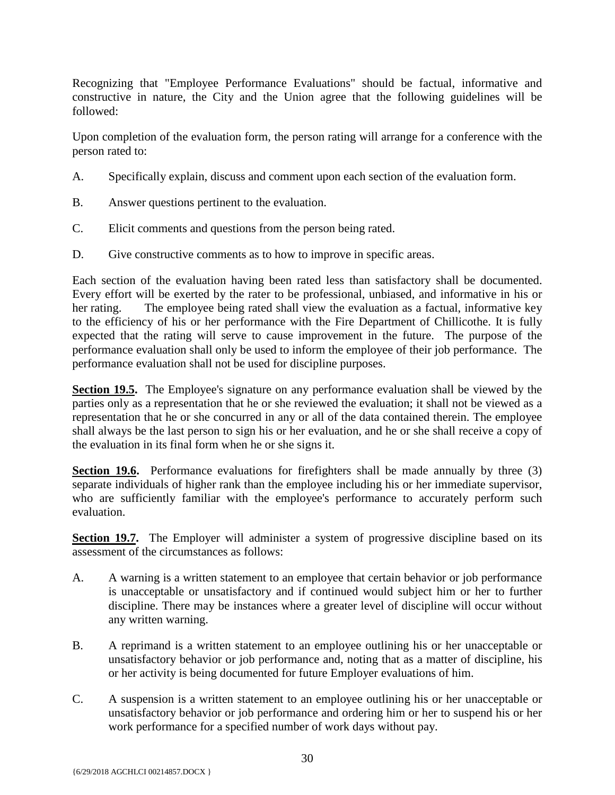Recognizing that "Employee Performance Evaluations" should be factual, informative and constructive in nature, the City and the Union agree that the following guidelines will be followed:

Upon completion of the evaluation form, the person rating will arrange for a conference with the person rated to:

- A. Specifically explain, discuss and comment upon each section of the evaluation form.
- B. Answer questions pertinent to the evaluation.
- C. Elicit comments and questions from the person being rated.
- D. Give constructive comments as to how to improve in specific areas.

Each section of the evaluation having been rated less than satisfactory shall be documented. Every effort will be exerted by the rater to be professional, unbiased, and informative in his or her rating. The employee being rated shall view the evaluation as a factual, informative key to the efficiency of his or her performance with the Fire Department of Chillicothe. It is fully expected that the rating will serve to cause improvement in the future. The purpose of the performance evaluation shall only be used to inform the employee of their job performance. The performance evaluation shall not be used for discipline purposes.

**Section 19.5.** The Employee's signature on any performance evaluation shall be viewed by the parties only as a representation that he or she reviewed the evaluation; it shall not be viewed as a representation that he or she concurred in any or all of the data contained therein. The employee shall always be the last person to sign his or her evaluation, and he or she shall receive a copy of the evaluation in its final form when he or she signs it.

**Section 19.6.** Performance evaluations for firefighters shall be made annually by three (3) separate individuals of higher rank than the employee including his or her immediate supervisor, who are sufficiently familiar with the employee's performance to accurately perform such evaluation.

**Section 19.7.** The Employer will administer a system of progressive discipline based on its assessment of the circumstances as follows:

- A. A warning is a written statement to an employee that certain behavior or job performance is unacceptable or unsatisfactory and if continued would subject him or her to further discipline. There may be instances where a greater level of discipline will occur without any written warning.
- B. A reprimand is a written statement to an employee outlining his or her unacceptable or unsatisfactory behavior or job performance and, noting that as a matter of discipline, his or her activity is being documented for future Employer evaluations of him.
- C. A suspension is a written statement to an employee outlining his or her unacceptable or unsatisfactory behavior or job performance and ordering him or her to suspend his or her work performance for a specified number of work days without pay.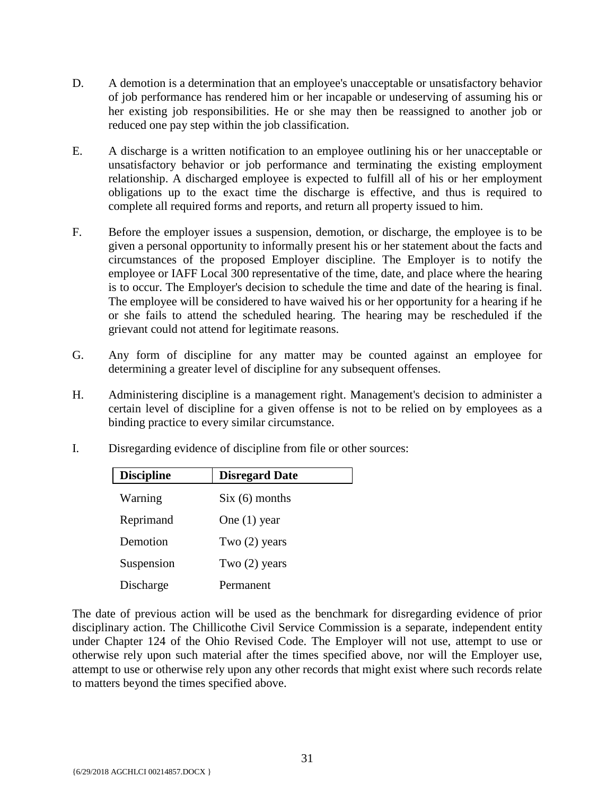- D. A demotion is a determination that an employee's unacceptable or unsatisfactory behavior of job performance has rendered him or her incapable or undeserving of assuming his or her existing job responsibilities. He or she may then be reassigned to another job or reduced one pay step within the job classification.
- E. A discharge is a written notification to an employee outlining his or her unacceptable or unsatisfactory behavior or job performance and terminating the existing employment relationship. A discharged employee is expected to fulfill all of his or her employment obligations up to the exact time the discharge is effective, and thus is required to complete all required forms and reports, and return all property issued to him.
- F. Before the employer issues a suspension, demotion, or discharge, the employee is to be given a personal opportunity to informally present his or her statement about the facts and circumstances of the proposed Employer discipline. The Employer is to notify the employee or IAFF Local 300 representative of the time, date, and place where the hearing is to occur. The Employer's decision to schedule the time and date of the hearing is final. The employee will be considered to have waived his or her opportunity for a hearing if he or she fails to attend the scheduled hearing. The hearing may be rescheduled if the grievant could not attend for legitimate reasons.
- G. Any form of discipline for any matter may be counted against an employee for determining a greater level of discipline for any subsequent offenses.
- H. Administering discipline is a management right. Management's decision to administer a certain level of discipline for a given offense is not to be relied on by employees as a binding practice to every similar circumstance.
- I. Disregarding evidence of discipline from file or other sources:

| <b>Discipline</b> | <b>Disregard Date</b> |
|-------------------|-----------------------|
| Warning           | $Six (6)$ months      |
| Reprimand         | One $(1)$ year        |
| Demotion          | Two $(2)$ years       |
| Suspension        | Two $(2)$ years       |
| Discharge         | Permanent             |

The date of previous action will be used as the benchmark for disregarding evidence of prior disciplinary action. The Chillicothe Civil Service Commission is a separate, independent entity under Chapter 124 of the Ohio Revised Code. The Employer will not use, attempt to use or otherwise rely upon such material after the times specified above, nor will the Employer use, attempt to use or otherwise rely upon any other records that might exist where such records relate to matters beyond the times specified above.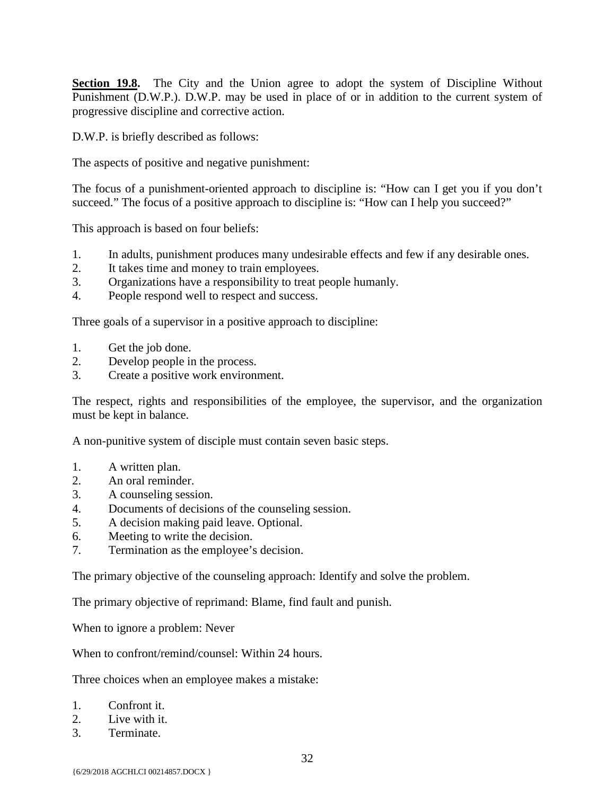**Section 19.8.** The City and the Union agree to adopt the system of Discipline Without Punishment (D.W.P.). D.W.P. may be used in place of or in addition to the current system of progressive discipline and corrective action.

D.W.P. is briefly described as follows:

The aspects of positive and negative punishment:

The focus of a punishment-oriented approach to discipline is: "How can I get you if you don't succeed." The focus of a positive approach to discipline is: "How can I help you succeed?"

This approach is based on four beliefs:

- 1. In adults, punishment produces many undesirable effects and few if any desirable ones.
- 2. It takes time and money to train employees.
- 3. Organizations have a responsibility to treat people humanly.
- 4. People respond well to respect and success.

Three goals of a supervisor in a positive approach to discipline:

- 1. Get the job done.
- 2. Develop people in the process.
- 3. Create a positive work environment.

The respect, rights and responsibilities of the employee, the supervisor, and the organization must be kept in balance.

A non-punitive system of disciple must contain seven basic steps.

- 1. A written plan.
- 2. An oral reminder.
- 3. A counseling session.
- 4. Documents of decisions of the counseling session.
- 5. A decision making paid leave. Optional.
- 6. Meeting to write the decision.
- 7. Termination as the employee's decision.

The primary objective of the counseling approach: Identify and solve the problem.

The primary objective of reprimand: Blame, find fault and punish.

When to ignore a problem: Never

When to confront/remind/counsel: Within 24 hours.

Three choices when an employee makes a mistake:

- 1. Confront it.
- 2. Live with it.
- 3. Terminate.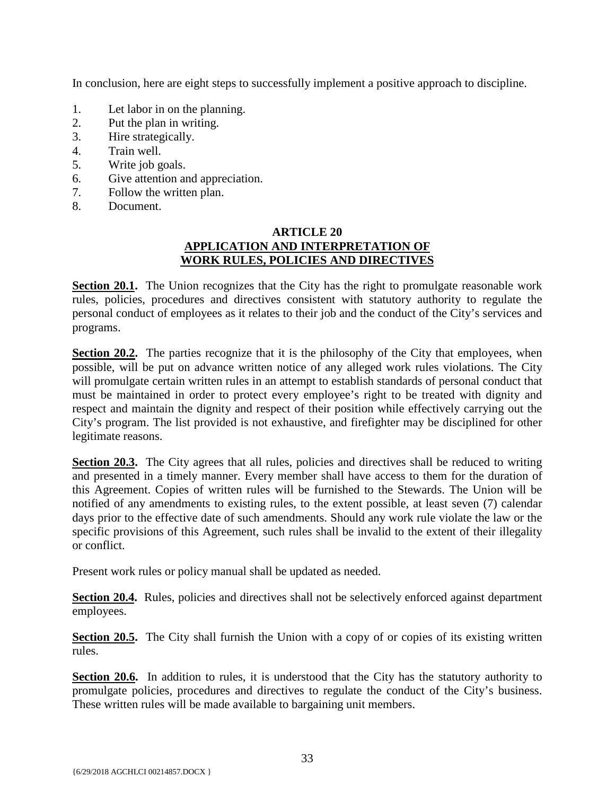In conclusion, here are eight steps to successfully implement a positive approach to discipline.

- 1. Let labor in on the planning.
- 2. Put the plan in writing.
- 3. Hire strategically.
- 4. Train well.
- 5. Write job goals.
- 6. Give attention and appreciation.
- 7. Follow the written plan.
- <span id="page-34-0"></span>8. Document.

#### **ARTICLE 20 APPLICATION AND INTERPRETATION OF WORK RULES, POLICIES AND DIRECTIVES**

**Section 20.1.** The Union recognizes that the City has the right to promulgate reasonable work rules, policies, procedures and directives consistent with statutory authority to regulate the personal conduct of employees as it relates to their job and the conduct of the City's services and programs.

**Section 20.2.** The parties recognize that it is the philosophy of the City that employees, when possible, will be put on advance written notice of any alleged work rules violations. The City will promulgate certain written rules in an attempt to establish standards of personal conduct that must be maintained in order to protect every employee's right to be treated with dignity and respect and maintain the dignity and respect of their position while effectively carrying out the City's program. The list provided is not exhaustive, and firefighter may be disciplined for other legitimate reasons.

**Section 20.3.** The City agrees that all rules, policies and directives shall be reduced to writing and presented in a timely manner. Every member shall have access to them for the duration of this Agreement. Copies of written rules will be furnished to the Stewards. The Union will be notified of any amendments to existing rules, to the extent possible, at least seven (7) calendar days prior to the effective date of such amendments. Should any work rule violate the law or the specific provisions of this Agreement, such rules shall be invalid to the extent of their illegality or conflict.

Present work rules or policy manual shall be updated as needed.

**Section 20.4.** Rules, policies and directives shall not be selectively enforced against department employees.

**Section 20.5.** The City shall furnish the Union with a copy of or copies of its existing written rules.

**Section 20.6.** In addition to rules, it is understood that the City has the statutory authority to promulgate policies, procedures and directives to regulate the conduct of the City's business. These written rules will be made available to bargaining unit members.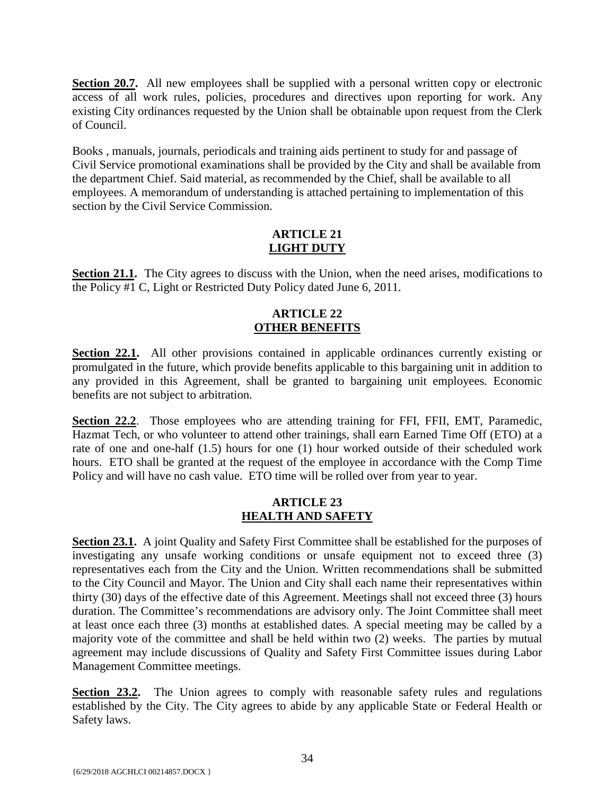**Section 20.7.** All new employees shall be supplied with a personal written copy or electronic access of all work rules, policies, procedures and directives upon reporting for work. Any existing City ordinances requested by the Union shall be obtainable upon request from the Clerk of Council.

Books , manuals, journals, periodicals and training aids pertinent to study for and passage of Civil Service promotional examinations shall be provided by the City and shall be available from the department Chief. Said material, as recommended by the Chief, shall be available to all employees. A memorandum of understanding is attached pertaining to implementation of this section by the Civil Service Commission.

#### **ARTICLE 21 LIGHT DUTY**

<span id="page-35-0"></span>**Section 21.1.** The City agrees to discuss with the Union, when the need arises, modifications to the Policy #1 C, Light or Restricted Duty Policy dated June 6, 2011.

#### **ARTICLE 22 OTHER BENEFITS**

<span id="page-35-1"></span>**Section 22.1.** All other provisions contained in applicable ordinances currently existing or promulgated in the future, which provide benefits applicable to this bargaining unit in addition to any provided in this Agreement, shall be granted to bargaining unit employees. Economic benefits are not subject to arbitration.

**Section 22.2.** Those employees who are attending training for FFI, FFII, EMT, Paramedic, Hazmat Tech, or who volunteer to attend other trainings, shall earn Earned Time Off (ETO) at a rate of one and one-half (1.5) hours for one (1) hour worked outside of their scheduled work hours. ETO shall be granted at the request of the employee in accordance with the Comp Time Policy and will have no cash value. ETO time will be rolled over from year to year.

## **ARTICLE 23 HEALTH AND SAFETY**

<span id="page-35-2"></span>**Section 23.1.** A joint Quality and Safety First Committee shall be established for the purposes of investigating any unsafe working conditions or unsafe equipment not to exceed three (3) representatives each from the City and the Union. Written recommendations shall be submitted to the City Council and Mayor. The Union and City shall each name their representatives within thirty (30) days of the effective date of this Agreement. Meetings shall not exceed three (3) hours duration. The Committee's recommendations are advisory only. The Joint Committee shall meet at least once each three (3) months at established dates. A special meeting may be called by a majority vote of the committee and shall be held within two (2) weeks. The parties by mutual agreement may include discussions of Quality and Safety First Committee issues during Labor Management Committee meetings.

**Section 23.2.** The Union agrees to comply with reasonable safety rules and regulations established by the City. The City agrees to abide by any applicable State or Federal Health or Safety laws.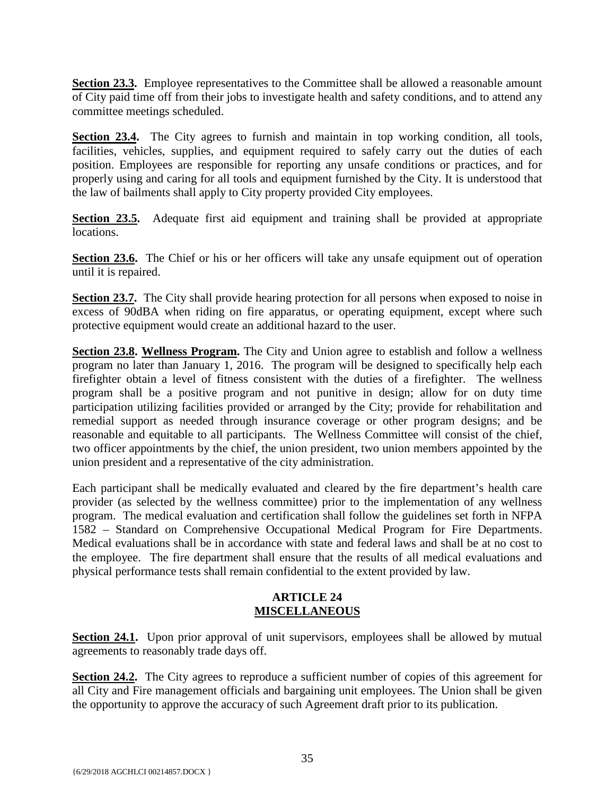**Section 23.3.** Employee representatives to the Committee shall be allowed a reasonable amount of City paid time off from their jobs to investigate health and safety conditions, and to attend any committee meetings scheduled.

**Section 23.4.** The City agrees to furnish and maintain in top working condition, all tools, facilities, vehicles, supplies, and equipment required to safely carry out the duties of each position. Employees are responsible for reporting any unsafe conditions or practices, and for properly using and caring for all tools and equipment furnished by the City. It is understood that the law of bailments shall apply to City property provided City employees.

**Section 23.5.** Adequate first aid equipment and training shall be provided at appropriate locations.

**Section 23.6.** The Chief or his or her officers will take any unsafe equipment out of operation until it is repaired.

**Section 23.7.** The City shall provide hearing protection for all persons when exposed to noise in excess of 90dBA when riding on fire apparatus, or operating equipment, except where such protective equipment would create an additional hazard to the user.

**Section 23.8. Wellness Program.** The City and Union agree to establish and follow a wellness program no later than January 1, 2016. The program will be designed to specifically help each firefighter obtain a level of fitness consistent with the duties of a firefighter. The wellness program shall be a positive program and not punitive in design; allow for on duty time participation utilizing facilities provided or arranged by the City; provide for rehabilitation and remedial support as needed through insurance coverage or other program designs; and be reasonable and equitable to all participants. The Wellness Committee will consist of the chief, two officer appointments by the chief, the union president, two union members appointed by the union president and a representative of the city administration.

Each participant shall be medically evaluated and cleared by the fire department's health care provider (as selected by the wellness committee) prior to the implementation of any wellness program. The medical evaluation and certification shall follow the guidelines set forth in NFPA 1582 – Standard on Comprehensive Occupational Medical Program for Fire Departments. Medical evaluations shall be in accordance with state and federal laws and shall be at no cost to the employee. The fire department shall ensure that the results of all medical evaluations and physical performance tests shall remain confidential to the extent provided by law.

## **ARTICLE 24 MISCELLANEOUS**

<span id="page-36-0"></span>**Section 24.1.** Upon prior approval of unit supervisors, employees shall be allowed by mutual agreements to reasonably trade days off.

**Section 24.2.** The City agrees to reproduce a sufficient number of copies of this agreement for all City and Fire management officials and bargaining unit employees. The Union shall be given the opportunity to approve the accuracy of such Agreement draft prior to its publication.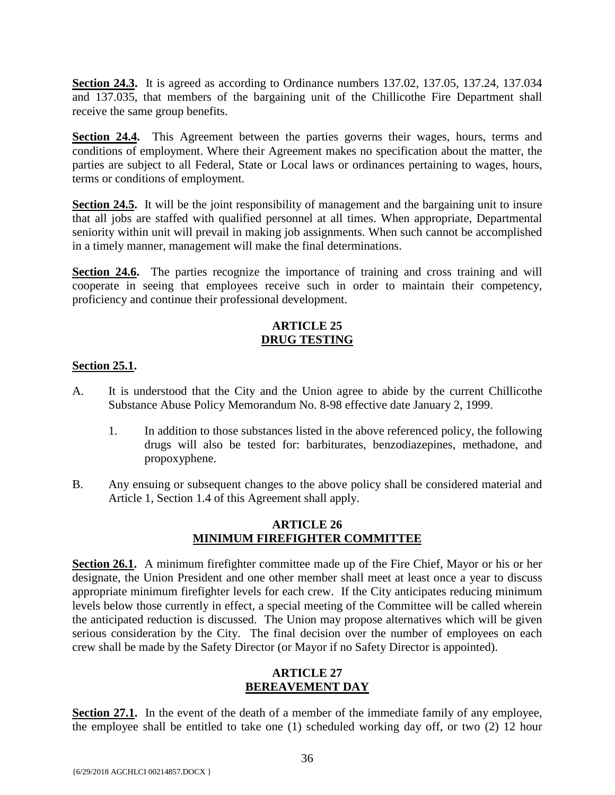**Section 24.3.** It is agreed as according to Ordinance numbers 137.02, 137.05, 137.24, 137.034 and 137.035, that members of the bargaining unit of the Chillicothe Fire Department shall receive the same group benefits.

**Section 24.4.** This Agreement between the parties governs their wages, hours, terms and conditions of employment. Where their Agreement makes no specification about the matter, the parties are subject to all Federal, State or Local laws or ordinances pertaining to wages, hours, terms or conditions of employment.

**Section 24.5.** It will be the joint responsibility of management and the bargaining unit to insure that all jobs are staffed with qualified personnel at all times. When appropriate, Departmental seniority within unit will prevail in making job assignments. When such cannot be accomplished in a timely manner, management will make the final determinations.

**Section 24.6.** The parties recognize the importance of training and cross training and will cooperate in seeing that employees receive such in order to maintain their competency, proficiency and continue their professional development.

## **ARTICLE 25 DRUG TESTING**

#### <span id="page-37-0"></span>**Section 25.1.**

- A. It is understood that the City and the Union agree to abide by the current Chillicothe Substance Abuse Policy Memorandum No. 8-98 effective date January 2, 1999.
	- 1. In addition to those substances listed in the above referenced policy, the following drugs will also be tested for: barbiturates, benzodiazepines, methadone, and propoxyphene.
- B. Any ensuing or subsequent changes to the above policy shall be considered material and Article 1, Section 1.4 of this Agreement shall apply.

#### **ARTICLE 26 MINIMUM FIREFIGHTER COMMITTEE**

<span id="page-37-1"></span>**Section 26.1.** A minimum firefighter committee made up of the Fire Chief, Mayor or his or her designate, the Union President and one other member shall meet at least once a year to discuss appropriate minimum firefighter levels for each crew. If the City anticipates reducing minimum levels below those currently in effect, a special meeting of the Committee will be called wherein the anticipated reduction is discussed. The Union may propose alternatives which will be given serious consideration by the City. The final decision over the number of employees on each crew shall be made by the Safety Director (or Mayor if no Safety Director is appointed).

#### **ARTICLE 27 BEREAVEMENT DAY**

<span id="page-37-2"></span>**Section 27.1.** In the event of the death of a member of the immediate family of any employee, the employee shall be entitled to take one (1) scheduled working day off, or two (2) 12 hour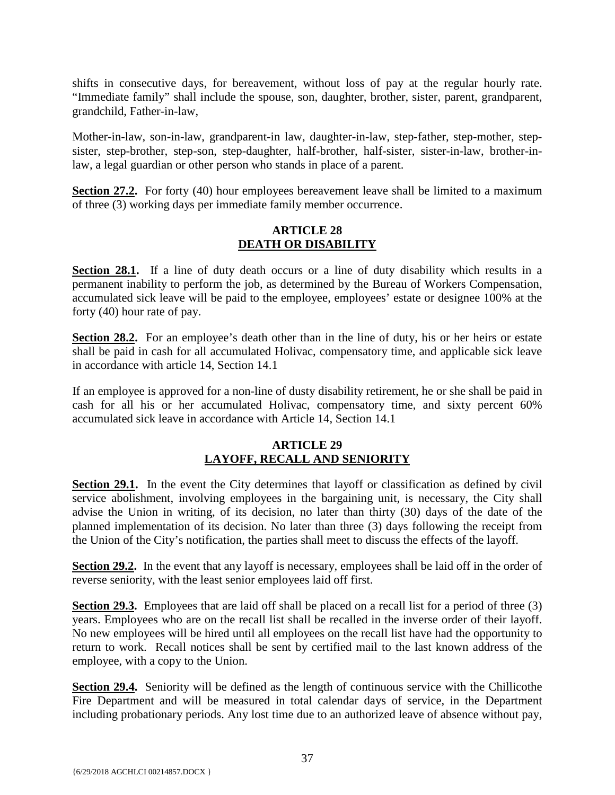shifts in consecutive days, for bereavement, without loss of pay at the regular hourly rate. "Immediate family" shall include the spouse, son, daughter, brother, sister, parent, grandparent, grandchild, Father-in-law,

Mother-in-law, son-in-law, grandparent-in law, daughter-in-law, step-father, step-mother, stepsister, step-brother, step-son, step-daughter, half-brother, half-sister, sister-in-law, brother-inlaw, a legal guardian or other person who stands in place of a parent.

**Section 27.2.** For forty (40) hour employees bereavement leave shall be limited to a maximum of three (3) working days per immediate family member occurrence.

#### **ARTICLE 28 DEATH OR DISABILITY**

<span id="page-38-0"></span>**Section 28.1.** If a line of duty death occurs or a line of duty disability which results in a permanent inability to perform the job, as determined by the Bureau of Workers Compensation, accumulated sick leave will be paid to the employee, employees' estate or designee 100% at the forty (40) hour rate of pay.

**Section 28.2.** For an employee's death other than in the line of duty, his or her heirs or estate shall be paid in cash for all accumulated Holivac, compensatory time, and applicable sick leave in accordance with article 14, Section 14.1

If an employee is approved for a non-line of dusty disability retirement, he or she shall be paid in cash for all his or her accumulated Holivac, compensatory time, and sixty percent 60% accumulated sick leave in accordance with Article 14, Section 14.1

## **ARTICLE 29 LAYOFF, RECALL AND SENIORITY**

<span id="page-38-1"></span>**Section 29.1.** In the event the City determines that layoff or classification as defined by civil service abolishment, involving employees in the bargaining unit, is necessary, the City shall advise the Union in writing, of its decision, no later than thirty (30) days of the date of the planned implementation of its decision. No later than three (3) days following the receipt from the Union of the City's notification, the parties shall meet to discuss the effects of the layoff.

**Section 29.2.** In the event that any layoff is necessary, employees shall be laid off in the order of reverse seniority, with the least senior employees laid off first.

**Section 29.3.** Employees that are laid off shall be placed on a recall list for a period of three (3) years. Employees who are on the recall list shall be recalled in the inverse order of their layoff. No new employees will be hired until all employees on the recall list have had the opportunity to return to work. Recall notices shall be sent by certified mail to the last known address of the employee, with a copy to the Union.

**Section 29.4.** Seniority will be defined as the length of continuous service with the Chillicothe Fire Department and will be measured in total calendar days of service, in the Department including probationary periods. Any lost time due to an authorized leave of absence without pay,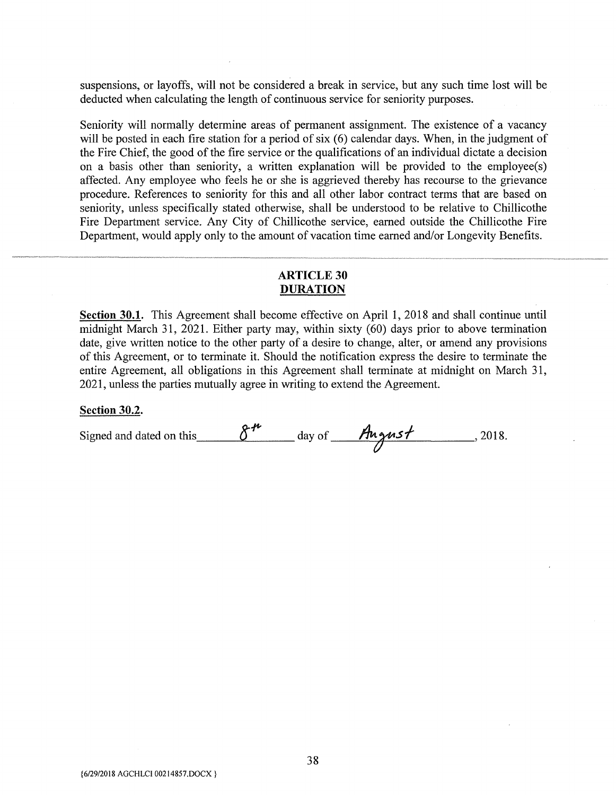suspensions, or layoffs, will not be considered a break in service, but any such time lost will be deducted when calculating the length of continuous service for seniority purposes.

Seniority will normally determine areas of permanent assignment. The existence of a vacancy will be posted in each fire station for a period of six (6) calendar days. When, in the judgment of the Fire Chief, the good of the fire service or the qualifications of an individual dictate a decision on a basis other than seniority, a written explanation will be provided to the employee(s) affected. Any employee who feels he or she is aggrieved thereby has recourse to the grievance procedure. References to seniority for this and all other labor contract terms that are based on seniority, unless specifically stated otherwise, shall be understood to be relative to Chillicothe Fire Department service. Any City of Chillicothe service, earned outside the Chillicothe Fire Department, would apply only to the amount of vacation time earned and/or Longevity Benefits.

#### **ARTICLE30 DURATION**

**Section 30.1.** This Agreement shall become effective on April 1, 2018 and shall continue until midnight March 31, 2021. Either party may, within sixty (60) days prior to above termination date, give written notice to the other party of a desire to change, alter, or amend any provisions of this Agreement, or to terminate it. Should the notification express the desire to terminate the entire Agreement, all obligations in this Agreement shall terminate at midnight on March 31, 2021, unless the parties mutually agree in writing to extend the Agreement.

#### **Section 30.2.**

| Signed and dated on this | $\Lambda$ | day of | Hugust | 2018. |
|--------------------------|-----------|--------|--------|-------|
|                          |           |        |        |       |